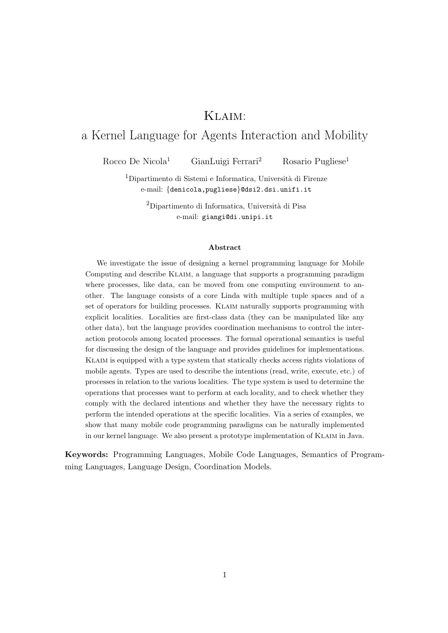# KLAIM:

# a Kernel Language for Agents Interaction and Mobility

Rocco De Nicola<sup>1</sup> GianLuigi Ferrari<sup>2</sup> Rosario Pugliese<sup>1</sup>

<sup>1</sup>Dipartimento di Sistemi e Informatica, Università di Firenze e-mail: {denicola,pugliese}@dsi2.dsi.unifi.it

> <sup>2</sup>Dipartimento di Informatica, Università di Pisa e-mail: giangi@di.unipi.it

#### Abstract

We investigate the issue of designing a kernel programming language for Mobile Computing and describe KLAIM, a language that supports a programming paradigm where processes, like data, can be moved from one computing environment to another. The language consists of a core Linda with multiple tuple spaces and of a set of operators for building processes. Klaim naturally supports programming with explicit localities. Localities are first-class data (they can be manipulated like any other data), but the language provides coordination mechanisms to control the interaction protocols among located processes. The formal operational semantics is useful for discussing the design of the language and provides guidelines for implementations. Klaim is equipped with a type system that statically checks access rights violations of mobile agents. Types are used to describe the intentions (read, write, execute, etc.) of processes in relation to the various localities. The type system is used to determine the operations that processes want to perform at each locality, and to check whether they comply with the declared intentions and whether they have the necessary rights to perform the intended operations at the specific localities. Via a series of examples, we show that many mobile code programming paradigms can be naturally implemented in our kernel language. We also present a prototype implementation of KLAIM in Java.

Keywords: Programming Languages, Mobile Code Languages, Semantics of Programming Languages, Language Design, Coordination Models.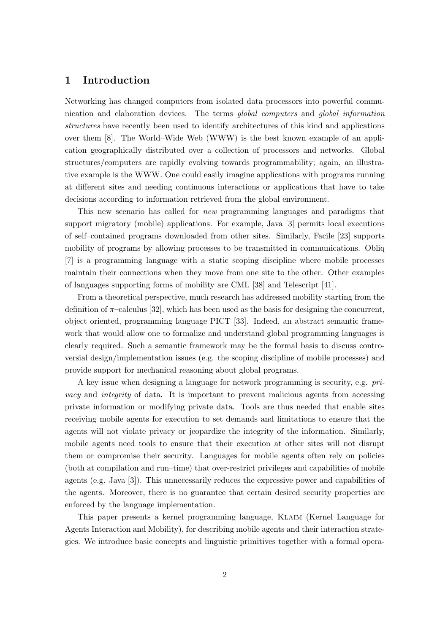### 1 Introduction

Networking has changed computers from isolated data processors into powerful communication and elaboration devices. The terms global computers and global information structures have recently been used to identify architectures of this kind and applications over them [8]. The World–Wide Web (WWW) is the best known example of an application geographically distributed over a collection of processors and networks. Global structures/computers are rapidly evolving towards programmability; again, an illustrative example is the WWW. One could easily imagine applications with programs running at different sites and needing continuous interactions or applications that have to take decisions according to information retrieved from the global environment.

This new scenario has called for new programming languages and paradigms that support migratory (mobile) applications. For example, Java [3] permits local executions of self–contained programs downloaded from other sites. Similarly, Facile [23] supports mobility of programs by allowing processes to be transmitted in communications. Obliq [7] is a programming language with a static scoping discipline where mobile processes maintain their connections when they move from one site to the other. Other examples of languages supporting forms of mobility are CML [38] and Telescript [41].

From a theoretical perspective, much research has addressed mobility starting from the definition of  $\pi$ –calculus [32], which has been used as the basis for designing the concurrent, object oriented, programming language PICT [33]. Indeed, an abstract semantic framework that would allow one to formalize and understand global programming languages is clearly required. Such a semantic framework may be the formal basis to discuss controversial design/implementation issues (e.g. the scoping discipline of mobile processes) and provide support for mechanical reasoning about global programs.

A key issue when designing a language for network programming is security, e.g. privacy and integrity of data. It is important to prevent malicious agents from accessing private information or modifying private data. Tools are thus needed that enable sites receiving mobile agents for execution to set demands and limitations to ensure that the agents will not violate privacy or jeopardize the integrity of the information. Similarly, mobile agents need tools to ensure that their execution at other sites will not disrupt them or compromise their security. Languages for mobile agents often rely on policies (both at compilation and run–time) that over-restrict privileges and capabilities of mobile agents (e.g. Java [3]). This unnecessarily reduces the expressive power and capabilities of the agents. Moreover, there is no guarantee that certain desired security properties are enforced by the language implementation.

This paper presents a kernel programming language, Klaim (Kernel Language for Agents Interaction and Mobility), for describing mobile agents and their interaction strategies. We introduce basic concepts and linguistic primitives together with a formal opera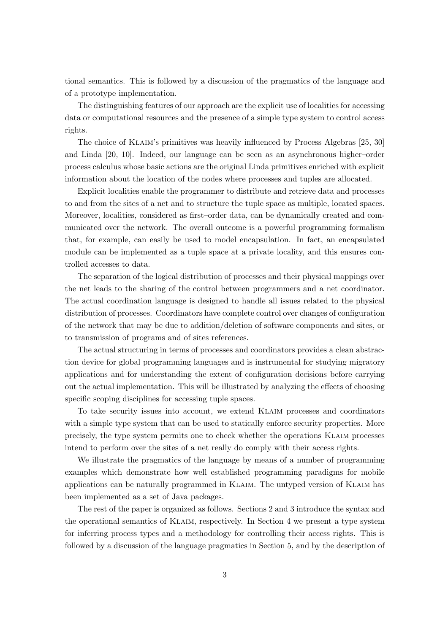tional semantics. This is followed by a discussion of the pragmatics of the language and of a prototype implementation.

The distinguishing features of our approach are the explicit use of localities for accessing data or computational resources and the presence of a simple type system to control access rights.

The choice of Klaim's primitives was heavily influenced by Process Algebras [25, 30] and Linda [20, 10]. Indeed, our language can be seen as an asynchronous higher–order process calculus whose basic actions are the original Linda primitives enriched with explicit information about the location of the nodes where processes and tuples are allocated.

Explicit localities enable the programmer to distribute and retrieve data and processes to and from the sites of a net and to structure the tuple space as multiple, located spaces. Moreover, localities, considered as first–order data, can be dynamically created and communicated over the network. The overall outcome is a powerful programming formalism that, for example, can easily be used to model encapsulation. In fact, an encapsulated module can be implemented as a tuple space at a private locality, and this ensures controlled accesses to data.

The separation of the logical distribution of processes and their physical mappings over the net leads to the sharing of the control between programmers and a net coordinator. The actual coordination language is designed to handle all issues related to the physical distribution of processes. Coordinators have complete control over changes of configuration of the network that may be due to addition/deletion of software components and sites, or to transmission of programs and of sites references.

The actual structuring in terms of processes and coordinators provides a clean abstraction device for global programming languages and is instrumental for studying migratory applications and for understanding the extent of configuration decisions before carrying out the actual implementation. This will be illustrated by analyzing the effects of choosing specific scoping disciplines for accessing tuple spaces.

To take security issues into account, we extend Klaim processes and coordinators with a simple type system that can be used to statically enforce security properties. More precisely, the type system permits one to check whether the operations Klaim processes intend to perform over the sites of a net really do comply with their access rights.

We illustrate the pragmatics of the language by means of a number of programming examples which demonstrate how well established programming paradigms for mobile applications can be naturally programmed in KLAIM. The untyped version of KLAIM has been implemented as a set of Java packages.

The rest of the paper is organized as follows. Sections 2 and 3 introduce the syntax and the operational semantics of Klaim, respectively. In Section 4 we present a type system for inferring process types and a methodology for controlling their access rights. This is followed by a discussion of the language pragmatics in Section 5, and by the description of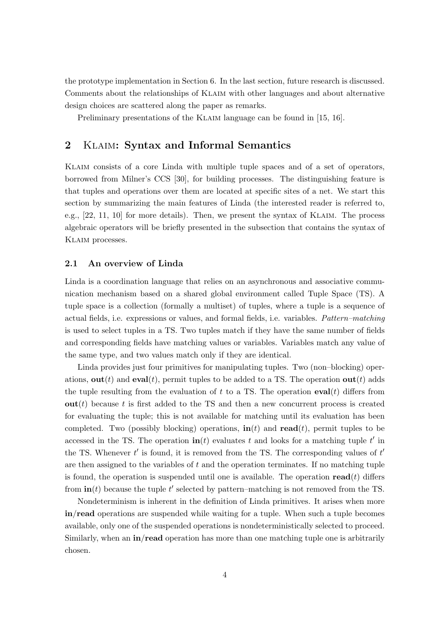the prototype implementation in Section 6. In the last section, future research is discussed. Comments about the relationships of Klaim with other languages and about alternative design choices are scattered along the paper as remarks.

Preliminary presentations of the KLAIM language can be found in [15, 16].

# 2 KLAIM: Syntax and Informal Semantics

Klaim consists of a core Linda with multiple tuple spaces and of a set of operators, borrowed from Milner's CCS [30], for building processes. The distinguishing feature is that tuples and operations over them are located at specific sites of a net. We start this section by summarizing the main features of Linda (the interested reader is referred to, e.g., [22, 11, 10] for more details). Then, we present the syntax of KLAIM. The process algebraic operators will be briefly presented in the subsection that contains the syntax of Klaim processes.

### 2.1 An overview of Linda

Linda is a coordination language that relies on an asynchronous and associative communication mechanism based on a shared global environment called Tuple Space (TS). A tuple space is a collection (formally a multiset) of tuples, where a tuple is a sequence of actual fields, i.e. expressions or values, and formal fields, i.e. variables. Pattern–matching is used to select tuples in a TS. Two tuples match if they have the same number of fields and corresponding fields have matching values or variables. Variables match any value of the same type, and two values match only if they are identical.

Linda provides just four primitives for manipulating tuples. Two (non–blocking) operations,  $\text{out}(t)$  and  $\text{eval}(t)$ , permit tuples to be added to a TS. The operation  $\text{out}(t)$  adds the tuple resulting from the evaluation of t to a TS. The operation  $eval(t)$  differs from  $\text{out}(t)$  because t is first added to the TS and then a new concurrent process is created for evaluating the tuple; this is not available for matching until its evaluation has been completed. Two (possibly blocking) operations,  $\textbf{in}(t)$  and  $\textbf{read}(t)$ , permit tuples to be accessed in the TS. The operation  $\textbf{in}(t)$  evaluates t and looks for a matching tuple t' in the TS. Whenever  $t'$  is found, it is removed from the TS. The corresponding values of  $t'$ are then assigned to the variables of  $t$  and the operation terminates. If no matching tuple is found, the operation is suspended until one is available. The operation  $\text{read}(t)$  differs from  $\textbf{in}(t)$  because the tuple t' selected by pattern–matching is not removed from the TS.

Nondeterminism is inherent in the definition of Linda primitives. It arises when more in/read operations are suspended while waiting for a tuple. When such a tuple becomes available, only one of the suspended operations is nondeterministically selected to proceed. Similarly, when an **in/read** operation has more than one matching tuple one is arbitrarily chosen.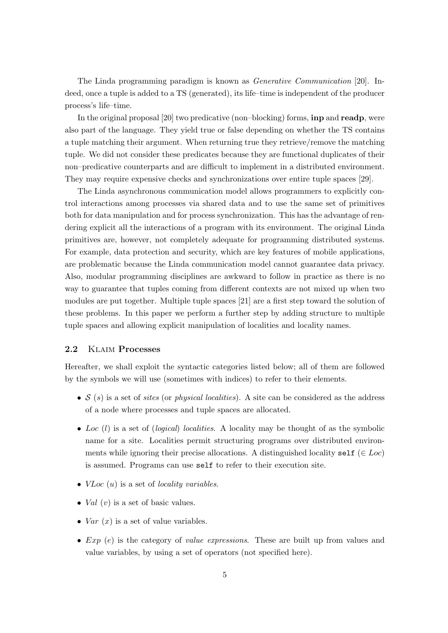The Linda programming paradigm is known as Generative Communication [20]. Indeed, once a tuple is added to a TS (generated), its life–time is independent of the producer process's life–time.

In the original proposal [20] two predicative (non–blocking) forms, inp and readp, were also part of the language. They yield true or false depending on whether the TS contains a tuple matching their argument. When returning true they retrieve/remove the matching tuple. We did not consider these predicates because they are functional duplicates of their non–predicative counterparts and are difficult to implement in a distributed environment. They may require expensive checks and synchronizations over entire tuple spaces [29].

The Linda asynchronous communication model allows programmers to explicitly control interactions among processes via shared data and to use the same set of primitives both for data manipulation and for process synchronization. This has the advantage of rendering explicit all the interactions of a program with its environment. The original Linda primitives are, however, not completely adequate for programming distributed systems. For example, data protection and security, which are key features of mobile applications, are problematic because the Linda communication model cannot guarantee data privacy. Also, modular programming disciplines are awkward to follow in practice as there is no way to guarantee that tuples coming from different contexts are not mixed up when two modules are put together. Multiple tuple spaces [21] are a first step toward the solution of these problems. In this paper we perform a further step by adding structure to multiple tuple spaces and allowing explicit manipulation of localities and locality names.

#### 2.2 KLAIM Processes

Hereafter, we shall exploit the syntactic categories listed below; all of them are followed by the symbols we will use (sometimes with indices) to refer to their elements.

- $S(s)$  is a set of *sites* (or *physical localities*). A site can be considered as the address of a node where processes and tuple spaces are allocated.
- Loc  $(l)$  is a set of (logical) localities. A locality may be thought of as the symbolic name for a site. Localities permit structuring programs over distributed environments while ignoring their precise allocations. A distinguished locality self ( $\in Loc$ ) is assumed. Programs can use self to refer to their execution site.
- $VLoc (u)$  is a set of *locality variables*.
- *Val*  $(v)$  is a set of basic values.
- *Var*  $(x)$  is a set of value variables.
- Exp (e) is the category of *value expressions*. These are built up from values and value variables, by using a set of operators (not specified here).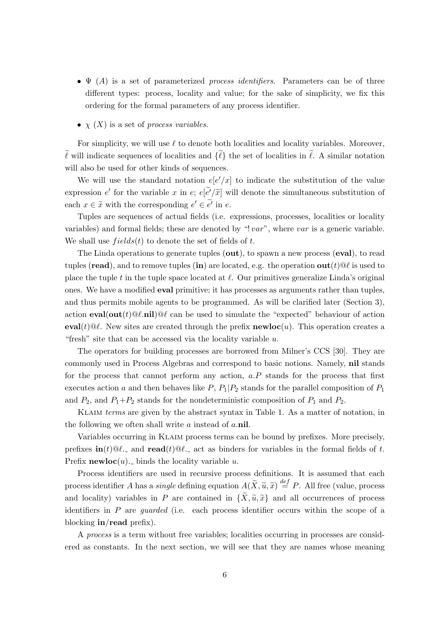- $\Psi(A)$  is a set of parameterized process identifiers. Parameters can be of three different types: process, locality and value; for the sake of simplicity, we fix this ordering for the formal parameters of any process identifier.
- $\chi$  (X) is a set of process variables.

For simplicity, we will use  $\ell$  to denote both localities and locality variables. Moreover,  $\ell$  will indicate sequences of localities and  $\{\ell\}$  the set of localities in  $\ell$ . A similar notation will also be used for other kinds of sequences.

We will use the standard notation  $e[e'/x]$  to indicate the substitution of the value expression e' for the variable x in e;  $e[\tilde{e}'/\tilde{x}]$  will denote the simultaneous substitution of each  $x \in \tilde{x}$  with the corresponding  $e' \in \tilde{e'}$  in  $e$ .

Tuples are sequences of actual fields (i.e. expressions, processes, localities or locality variables) and formal fields; these are denoted by "! var", where var is a generic variable. We shall use  $fields(t)$  to denote the set of fields of t.

The Linda operations to generate tuples (out), to spawn a new process (eval), to read tuples (read), and to remove tuples (in) are located, e.g. the operation  $\text{out}(t)$   $\mathcal{Q}\ell$  is used to place the tuple t in the tuple space located at  $\ell$ . Our primitives generalize Linda's original ones. We have a modified eval primitive; it has processes as arguments rather than tuples, and thus permits mobile agents to be programmed. As will be clarified later (Section 3), action **eval(out(t)** $\mathbb{Q}$ .nil) $\mathbb{Q}$  can be used to simulate the "expected" behaviour of action eval(t)@\, New sites are created through the prefix  $\mathbf{newloc}(u)$ . This operation creates a "fresh" site that can be accessed via the locality variable  $u$ .

The operators for building processes are borrowed from Milner's CCS [30]. They are commonly used in Process Algebras and correspond to basic notions. Namely, nil stands for the process that cannot perform any action,  $a.P$  stands for the process that first executes action a and then behaves like  $P$ ,  $P_1|P_2$  stands for the parallel composition of  $P_1$ and  $P_2$ , and  $P_1+P_2$  stands for the nondeterministic composition of  $P_1$  and  $P_2$ .

KLAIM *terms* are given by the abstract syntax in Table 1. As a matter of notation, in the following we often shall write  $a$  instead of  $a$ .nil.

Variables occurring in Klaim process terms can be bound by prefixes. More precisely, prefixes  $\text{in}(t) \mathbb{Q}\ell_{-}$  and  $\text{read}(t) \mathbb{Q}\ell_{-}$  act as binders for variables in the formal fields of t. Prefix  $newloc(u)$ . binds the locality variable u.

Process identifiers are used in recursive process definitions. It is assumed that each process identifier A has a *single* defining equation  $A(\tilde{X}, \tilde{u}, \tilde{x}) \stackrel{def}{=} P$ . All free (value, process and locality) variables in P are contained in  $\{\tilde{X}, \tilde{u}, \tilde{x}\}\$  and all occurrences of process identifiers in  $P$  are *quarded* (i.e. each process identifier occurs within the scope of a blocking in/read prefix).

A process is a term without free variables; localities occurring in processes are considered as constants. In the next section, we will see that they are names whose meaning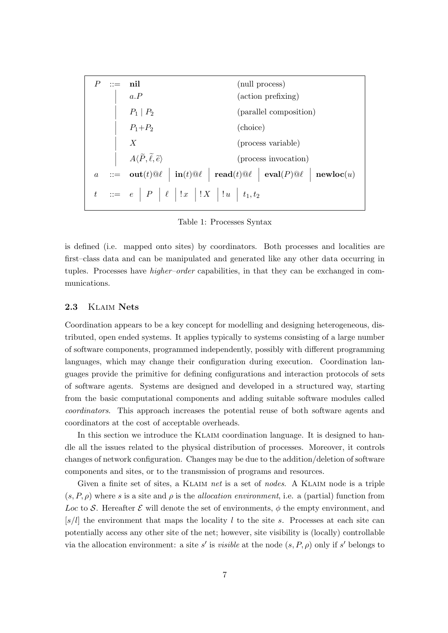| $P \ ::= \ \textbf{nil}$ |                                                                 | (null process)                                                                                                                                                                    |  |  |
|--------------------------|-----------------------------------------------------------------|-----------------------------------------------------------------------------------------------------------------------------------------------------------------------------------|--|--|
|                          | a.P                                                             | (action prefixing)                                                                                                                                                                |  |  |
|                          |                                                                 | (parallel composition)                                                                                                                                                            |  |  |
|                          | $\begin{vmatrix} P_1   P_2 \\ P_1 + P_2 \end{vmatrix}$          | (choice)                                                                                                                                                                          |  |  |
|                          | X                                                               | (process variable)                                                                                                                                                                |  |  |
|                          | $A\langle\widetilde{P},\widetilde{\ell},\widetilde{e}\rangle$   | (process invocation)                                                                                                                                                              |  |  |
|                          |                                                                 | $a$ ::= $\textbf{out}(t) \mathbb{Q} \ell \mid \textbf{in}(t) \mathbb{Q} \ell \mid \textbf{read}(t) \mathbb{Q} \ell \mid \textbf{eval}(P) \mathbb{Q} \ell \mid \textbf{newloc}(u)$ |  |  |
|                          | $t$ : $e \mid P \mid \ell \mid !x \mid !X \mid !u \mid t_1,t_2$ |                                                                                                                                                                                   |  |  |

Table 1: Processes Syntax

is defined (i.e. mapped onto sites) by coordinators. Both processes and localities are first–class data and can be manipulated and generated like any other data occurring in tuples. Processes have higher–order capabilities, in that they can be exchanged in communications.

#### 2.3 Klaim Nets

Coordination appears to be a key concept for modelling and designing heterogeneous, distributed, open ended systems. It applies typically to systems consisting of a large number of software components, programmed independently, possibly with different programming languages, which may change their configuration during execution. Coordination languages provide the primitive for defining configurations and interaction protocols of sets of software agents. Systems are designed and developed in a structured way, starting from the basic computational components and adding suitable software modules called coordinators. This approach increases the potential reuse of both software agents and coordinators at the cost of acceptable overheads.

In this section we introduce the KLAIM coordination language. It is designed to handle all the issues related to the physical distribution of processes. Moreover, it controls changes of network configuration. Changes may be due to the addition/deletion of software components and sites, or to the transmission of programs and resources.

Given a finite set of sites, a KLAIM net is a set of nodes. A KLAIM node is a triple  $(s, P, \rho)$  where s is a site and  $\rho$  is the *allocation environment*, i.e. a (partial) function from Loc to S. Hereafter  $\mathcal E$  will denote the set of environments,  $\phi$  the empty environment, and  $[s/l]$  the environment that maps the locality l to the site s. Processes at each site can potentially access any other site of the net; however, site visibility is (locally) controllable via the allocation environment: a site s' is *visible* at the node  $(s, P, \rho)$  only if s' belongs to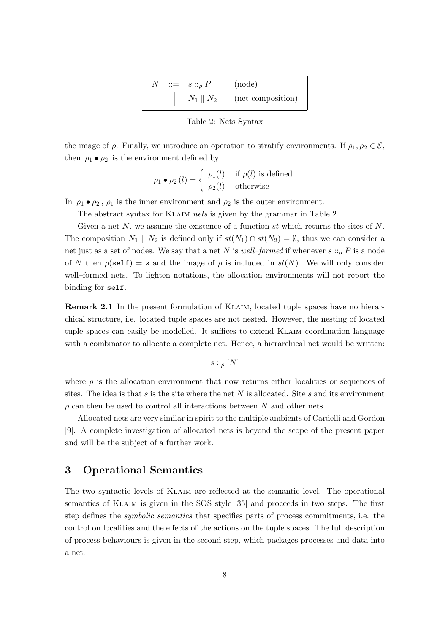|  | $N \quad ::= \quad s ::_{\rho} P$ | $(\text{node})$                       |
|--|-----------------------------------|---------------------------------------|
|  |                                   | $N_1 \parallel N_2$ (net composition) |

Table 2: Nets Syntax

the image of  $\rho$ . Finally, we introduce an operation to stratify environments. If  $\rho_1, \rho_2 \in \mathcal{E}$ , then  $\rho_1 \bullet \rho_2$  is the environment defined by:

$$
\rho_1 \bullet \rho_2 (l) = \begin{cases} \rho_1(l) & \text{if } \rho(l) \text{ is defined} \\ \rho_2(l) & \text{otherwise} \end{cases}
$$

In  $\rho_1 \bullet \rho_2$ ,  $\rho_1$  is the inner environment and  $\rho_2$  is the outer environment.

The abstract syntax for KLAIM nets is given by the grammar in Table 2.

Given a net  $N$ , we assume the existence of a function st which returns the sites of  $N$ . The composition  $N_1 \parallel N_2$  is defined only if  $st(N_1) \cap st(N_2) = \emptyset$ , thus we can consider a net just as a set of nodes. We say that a net N is *well–formed* if whenever  $s ::_{\rho} P$  is a node of N then  $\rho(\text{self}) = s$  and the image of  $\rho$  is included in  $st(N)$ . We will only consider well–formed nets. To lighten notations, the allocation environments will not report the binding for self.

Remark 2.1 In the present formulation of Klaim, located tuple spaces have no hierarchical structure, i.e. located tuple spaces are not nested. However, the nesting of located tuple spaces can easily be modelled. It suffices to extend KLAIM coordination language with a combinator to allocate a complete net. Hence, a hierarchical net would be written:

 $s ::_{\rho} [N]$ 

where  $\rho$  is the allocation environment that now returns either localities or sequences of sites. The idea is that s is the site where the net  $N$  is allocated. Site s and its environment  $\rho$  can then be used to control all interactions between N and other nets.

Allocated nets are very similar in spirit to the multiple ambients of Cardelli and Gordon [9]. A complete investigation of allocated nets is beyond the scope of the present paper and will be the subject of a further work.

## 3 Operational Semantics

The two syntactic levels of Klaim are reflected at the semantic level. The operational semantics of KLAIM is given in the SOS style [35] and proceeds in two steps. The first step defines the symbolic semantics that specifies parts of process commitments, i.e. the control on localities and the effects of the actions on the tuple spaces. The full description of process behaviours is given in the second step, which packages processes and data into a net.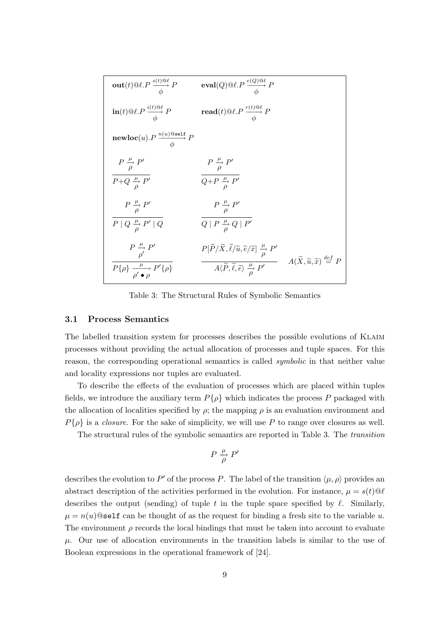out(t) @*l.P* 
$$
\xrightarrow{e(t) \otimes l} P
$$
  $\qquad \text{eval}(Q) \otimes l.P \xrightarrow{e(Q) \otimes l} P$   
\n $\text{in}(t) \otimes l.P \xrightarrow{i(t) \otimes l} P$   $\qquad \text{read}(t) \otimes l.P \xrightarrow{r(t) \otimes l} P$   
\n $\text{newloc}(u). P \xrightarrow{n(u) \otimes \text{self}} P$   
\n $\frac{P \xrightarrow{\mu} P'}{\rho} P'$   $\frac{P \xrightarrow{\mu} P'}{\rho} P'$   
\n $\frac{P \xrightarrow{\mu} P'}{\rho} P'$   $\frac{P \xrightarrow{\mu} P'}{\rho} P'$   
\n $\frac{P \xrightarrow{\mu} P'}{\rho} P'$   $\frac{P \xrightarrow{\mu} P'}{\rho} P'$   
\n $\frac{P \xrightarrow{\mu} P'}{\rho} P'$   $\frac{P \xrightarrow{\mu} P'}{\rho} Q \rvert P'$   
\n $\frac{P \xrightarrow{\mu} P'}{\rho'}$   $\frac{P[\tilde{P}/\tilde{X}, \tilde{l}/\tilde{u}, \tilde{e}/\tilde{x}] \xrightarrow{\mu} P'}{\rho \{\rho\} \xrightarrow{\mu} P' \{\rho\}}$   $A(\tilde{X}, \tilde{u}, \tilde{x}) \xrightarrow{def} P$ 

Table 3: The Structural Rules of Symbolic Semantics

#### 3.1 Process Semantics

The labelled transition system for processes describes the possible evolutions of Klaim processes without providing the actual allocation of processes and tuple spaces. For this reason, the corresponding operational semantics is called *symbolic* in that neither value and locality expressions nor tuples are evaluated.

To describe the effects of the evaluation of processes which are placed within tuples fields, we introduce the auxiliary term  $P\{\rho\}$  which indicates the process P packaged with the allocation of localities specified by  $\rho$ ; the mapping  $\rho$  is an evaluation environment and  $P\{\rho\}$  is a *closure*. For the sake of simplicity, we will use P to range over closures as well.

The structural rules of the symbolic semantics are reported in Table 3. The transition

$$
P \xrightarrow{\mu} P'
$$

describes the evolution to P' of the process P. The label of the transition  $\langle \mu, \rho \rangle$  provides an abstract description of the activities performed in the evolution. For instance,  $\mu = s(t) \mathbb{Q} \ell$ describes the output (sending) of tuple t in the tuple space specified by  $\ell$ . Similarly,  $\mu = n(u)$  as the sequest for binding a fresh site to the variable u. The environment  $\rho$  records the local bindings that must be taken into account to evaluate  $\mu$ . Our use of allocation environments in the transition labels is similar to the use of Boolean expressions in the operational framework of [24].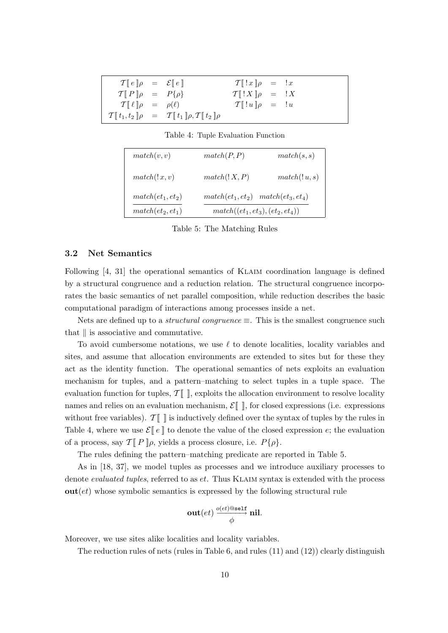| $T\llbracket e \rrbracket \rho = \mathcal{E} \llbracket e \rrbracket$ |                                                            | $\mathcal{T} \parallel !x \parallel \rho = !x$                                                                                                                                                                                                                                                                                                                                                                                                                                    |  |
|-----------------------------------------------------------------------|------------------------------------------------------------|-----------------------------------------------------------------------------------------------------------------------------------------------------------------------------------------------------------------------------------------------------------------------------------------------------------------------------------------------------------------------------------------------------------------------------------------------------------------------------------|--|
| $T \llbracket P \rrbracket \rho = P \{\rho\}$                         |                                                            | $\mathcal{T} \llbracket !X \rrbracket \rho = !X$                                                                                                                                                                                                                                                                                                                                                                                                                                  |  |
|                                                                       | $\mathcal{T} \llbracket \ell \rrbracket \rho = \rho(\ell)$ | $\mathcal{T} \parallel \! \cdot \! \parallel \mu \parallel \rho = \; \cdot \! \cdot \! \! \cdot \! \! \cdot \! \cdot \! \! \cdot \! \! \cdot \! \! \cdot \! \! \cdot \! \! \cdot \! \! \cdot \! \! \cdot \! \! \cdot \! \! \cdot \! \! \cdot \! \! \cdot \! \! \cdot \! \! \cdot \! \! \cdot \! \! \cdot \! \! \cdot \! \! \cdot \! \! \cdot \! \! \cdot \! \! \cdot \! \! \cdot \! \! \cdot \! \! \cdot \! \! \cdot \! \! \cdot \! \! \cdot \! \! \cdot \! \! \cdot \! \! \cdot$ |  |
|                                                                       | $T[[t_1, t_2]]\rho = T[[t_1]]\rho, T[[t_2]]\rho$           |                                                                                                                                                                                                                                                                                                                                                                                                                                                                                   |  |

Table 4: Tuple Evaluation Function

| match(v, v)         | match(P, P)         | match(s, s)                         |
|---------------------|---------------------|-------------------------------------|
| match(!x, v)        | match( X, P)        | match(!u, s)                        |
| $match(et_1, et_2)$ | $match(et_1, et_2)$ | $match(et_3, et_4)$                 |
| $match(et_2, et_1)$ |                     | $match((et_1, et_3), (et_2, et_4))$ |

Table 5: The Matching Rules

### 3.2 Net Semantics

Following [4, 31] the operational semantics of KLAIM coordination language is defined by a structural congruence and a reduction relation. The structural congruence incorporates the basic semantics of net parallel composition, while reduction describes the basic computational paradigm of interactions among processes inside a net.

Nets are defined up to a *structural congruence*  $\equiv$ . This is the smallest congruence such that  $\parallel$  is associative and commutative.

To avoid cumbersome notations, we use  $\ell$  to denote localities, locality variables and sites, and assume that allocation environments are extended to sites but for these they act as the identity function. The operational semantics of nets exploits an evaluation mechanism for tuples, and a pattern–matching to select tuples in a tuple space. The evaluation function for tuples,  $\mathcal{T}$ , exploits the allocation environment to resolve locality names and relies on an evaluation mechanism,  $\mathcal{E}[\ ]$ , for closed expressions (i.e. expressions without free variables).  $\mathcal{T}[\ ]$  is inductively defined over the syntax of tuples by the rules in Table 4, where we use  $\mathcal{E} \|e\|$  to denote the value of the closed expression  $e$ ; the evaluation of a process, say  $\mathcal{T} \llbracket P \rrbracket \rho$ , yields a process closure, i.e.  $P\{\rho\}$ .

The rules defining the pattern–matching predicate are reported in Table 5.

As in [18, 37], we model tuples as processes and we introduce auxiliary processes to denote *evaluated tuples*, referred to as *et.* Thus KLAIM syntax is extended with the process  $\text{out}(et)$  whose symbolic semantics is expressed by the following structural rule

$$
\textbf{out}(et) \xrightarrow{\textcolor{blue}{o(et)@self}} \textbf{nil}.
$$

Moreover, we use sites alike localities and locality variables.

The reduction rules of nets (rules in Table 6, and rules  $(11)$  and  $(12)$ ) clearly distinguish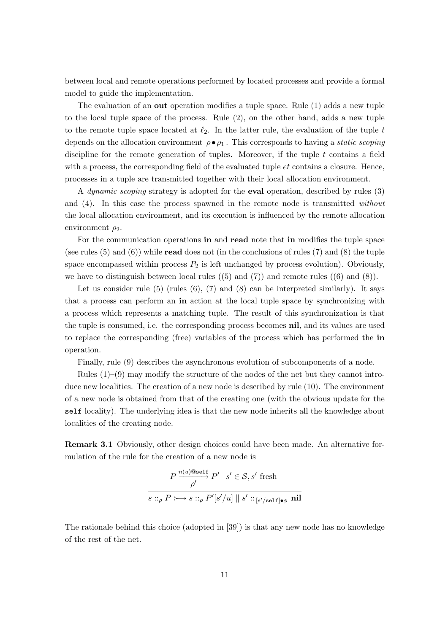between local and remote operations performed by located processes and provide a formal model to guide the implementation.

The evaluation of an out operation modifies a tuple space. Rule (1) adds a new tuple to the local tuple space of the process. Rule (2), on the other hand, adds a new tuple to the remote tuple space located at  $\ell_2$ . In the latter rule, the evaluation of the tuple t depends on the allocation environment  $\rho \bullet \rho_1$ . This corresponds to having a *static scoping* discipline for the remote generation of tuples. Moreover, if the tuple  $t$  contains a field with a process, the corresponding field of the evaluated tuple *et* contains a closure. Hence, processes in a tuple are transmitted together with their local allocation environment.

A dynamic scoping strategy is adopted for the eval operation, described by rules (3) and (4). In this case the process spawned in the remote node is transmitted without the local allocation environment, and its execution is influenced by the remote allocation environment  $\rho_2$ .

For the communication operations in and read note that in modifies the tuple space (see rules  $(5)$  and  $(6)$ ) while **read** does not (in the conclusions of rules  $(7)$  and  $(8)$ ) the tuple space encompassed within process  $P_2$  is left unchanged by process evolution). Obviously, we have to distinguish between local rules  $(5)$  and  $(7)$ ) and remote rules  $((6)$  and  $(8)$ ).

Let us consider rule  $(5)$  (rules  $(6)$ ,  $(7)$  and  $(8)$  can be interpreted similarly). It says that a process can perform an in action at the local tuple space by synchronizing with a process which represents a matching tuple. The result of this synchronization is that the tuple is consumed, i.e. the corresponding process becomes nil, and its values are used to replace the corresponding (free) variables of the process which has performed the in operation.

Finally, rule (9) describes the asynchronous evolution of subcomponents of a node.

Rules (1)–(9) may modify the structure of the nodes of the net but they cannot introduce new localities. The creation of a new node is described by rule (10). The environment of a new node is obtained from that of the creating one (with the obvious update for the self locality). The underlying idea is that the new node inherits all the knowledge about localities of the creating node.

Remark 3.1 Obviously, other design choices could have been made. An alternative formulation of the rule for the creation of a new node is

$$
P \xrightarrow{\textit{n(u)}\text{Qse1f}} P' \quad s' \in \mathcal{S}, s' \text{ fresh}
$$
\n
$$
\overrightarrow{s::_\rho P \rightarrowtail s::_\rho P'[s'/u] \parallel s'::_{[s'/\text{self}] \bullet \phi} \text{nil}}
$$

The rationale behind this choice (adopted in [39]) is that any new node has no knowledge of the rest of the net.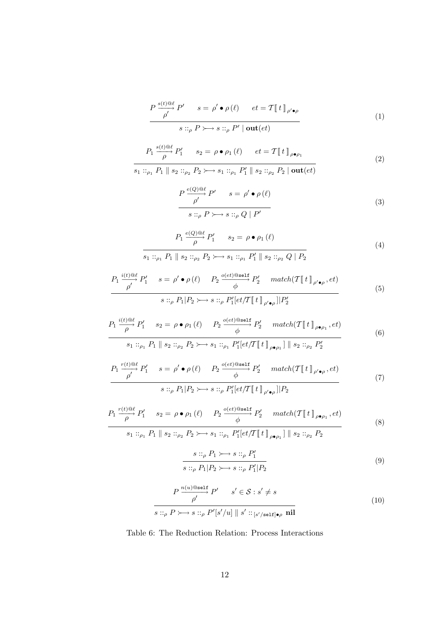$$
P \frac{s(t) \mathbb{Q}\ell}{\rho'} P' \qquad s = \rho' \bullet \rho(\ell) \qquad et = \mathcal{T} \llbracket t \rrbracket_{\rho' \bullet \rho}
$$
  

$$
s ::_{\rho} P \rightarrowtail s ::_{\rho} P' \mid \text{out}(et)
$$
 (1)

$$
P_1 \xrightarrow{\text{s}(t) \otimes \ell} P_1' \qquad s_2 = \rho \bullet \rho_1(\ell) \qquad \text{et} = \mathcal{T} \llbracket t \rrbracket_{\rho \bullet \rho_1} \tag{2}
$$

 $s_1:_{\rho_1} P_1 \parallel s_2:_{\rho_2} P_2 \rightarrowtail s_1:_{\rho_1} P'_1 \parallel s_2:_{\rho_2} P_2 |$  out $(e_t)$ 

$$
P \xrightarrow{\epsilon(Q) \otimes \ell} P' \qquad s = \rho' \bullet \rho(\ell)
$$
  

$$
s ::_{\rho} P \rightarrowtail s ::_{\rho} Q \mid P'
$$
  
(3)

$$
P_1 \xrightarrow{e(Q) \otimes \ell} P'_1 \qquad s_2 = \rho \bullet \rho_1(\ell)
$$
  

$$
s_1 ::_{\rho_1} P_1 \parallel s_2 ::_{\rho_2} P_2 \rightarrow s_1 ::_{\rho_1} P'_1 \parallel s_2 ::_{\rho_2} Q \parallel P_2
$$

$$
(4)
$$

$$
P_1 \xrightarrow{i(t)\otimes \ell} P'_1 \quad s = \rho' \bullet \rho(\ell) \quad P_2 \xrightarrow{o(et)\otimes \text{self}} P'_2 \quad match(T[\![ t]\!]_{\rho' \bullet \rho}, et)
$$
  

$$
s ::_{\rho} P_1 | P_2 \rightarrowtail s ::_{\rho} P'_1 [et/T[\![ t]\!]_{\rho' \bullet \rho}] | P'_2
$$

$$
(5)
$$

$$
P_1 \frac{i(t) \mathbb{Q}\ell}{\rho} P_1' \quad s_2 = \rho \bullet \rho_1(\ell) \quad P_2 \frac{o(et) \mathbb{Q} \text{self}}{\phi} P_2' \quad match(T[\![t]\!]_{\rho \bullet \rho_1}, et)
$$
  
\n
$$
s_1 ::_{\rho_1} P_1 \parallel s_2 ::_{\rho_2} P_2 \rightarrow s_1 ::_{\rho_1} P_1' [et/T[\![t]\!]_{\rho \bullet \rho_1}] \parallel s_2 ::_{\rho_2} P_2'
$$
\n
$$
(6)
$$

$$
P_1 \xrightarrow{r(t) \otimes \ell} P'_1 \quad s = \rho' \bullet \rho(\ell) \quad P_2 \xrightarrow{o(et) \otimes \text{self}} P'_2 \quad match(T[\![ t]\!]_{\rho' \bullet \rho}, et)
$$
  

$$
s ::_{\rho} P_1 | P_2 \rightarrowtail s ::_{\rho} P'_1 [\lfloor t / T[\![ t]\!]_{\rho' \bullet \rho}] | P_2
$$
 (7)

$$
P_1 \frac{r(t) \otimes \ell}{\rho} P_1' \quad s_2 = \rho \bullet \rho_1(\ell) \quad P_2 \xrightarrow{\mathit{o}(et) \otimes \mathit{self}} P_2' \quad match(\mathcal{T}[\![\; t]\!]_{\rho \bullet \rho_1}, \mathit{et})
$$
\n
$$
s_1 ::_{\rho_1} P_1 \parallel s_2 ::_{\rho_2} P_2 \rightarrowtail s_1 ::_{\rho_1} P_1'[\mathit{et}/\mathcal{T}[\![\; t]\!]_{\rho \bullet \rho_1}] \parallel s_2 ::_{\rho_2} P_2
$$
\n
$$
(8)
$$

$$
s ::_{\rho} P_1 \rightarrowtail s ::_{\rho} P'_1
$$
  

$$
s ::_{\rho} P_1 | P_2 \rightarrowtail s ::_{\rho} P'_1 | P_2
$$
  
(9)

$$
P \xrightarrow{\frac{n(u)\text{Qse1f}}{\rho'}} P' \quad s' \in \mathcal{S}: s' \neq s
$$
  

$$
s ::_{\rho} P \rightarrowtail s ::_{\rho} P'[s'/u] \parallel s' ::_{[s'/\text{se1f}] \bullet \rho} \text{nil}
$$
  
(10)

Table 6: The Reduction Relation: Process Interactions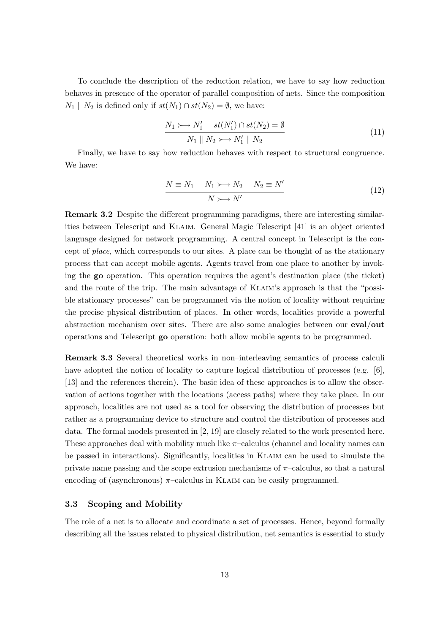To conclude the description of the reduction relation, we have to say how reduction behaves in presence of the operator of parallel composition of nets. Since the composition  $N_1 \parallel N_2$  is defined only if  $st(N_1) \cap st(N_2) = \emptyset$ , we have:

$$
\frac{N_1 \rightarrow N'_1 \quad st(N'_1) \cap st(N_2) = \emptyset}{N_1 \parallel N_2 \rightarrow N'_1 \parallel N_2}
$$
\n(11)

Finally, we have to say how reduction behaves with respect to structural congruence. We have:

$$
\frac{N \equiv N_1 \quad N_1 \rightarrow N_2 \quad N_2 \equiv N'}{N \rightarrow N'}
$$
 (12)

Remark 3.2 Despite the different programming paradigms, there are interesting similarities between Telescript and Klaim. General Magic Telescript [41] is an object oriented language designed for network programming. A central concept in Telescript is the concept of place, which corresponds to our sites. A place can be thought of as the stationary process that can accept mobile agents. Agents travel from one place to another by invoking the go operation. This operation requires the agent's destination place (the ticket) and the route of the trip. The main advantage of Klaim's approach is that the "possible stationary processes" can be programmed via the notion of locality without requiring the precise physical distribution of places. In other words, localities provide a powerful abstraction mechanism over sites. There are also some analogies between our eval/out operations and Telescript go operation: both allow mobile agents to be programmed.

Remark 3.3 Several theoretical works in non–interleaving semantics of process calculi have adopted the notion of locality to capture logical distribution of processes (e.g. [6], [13] and the references therein). The basic idea of these approaches is to allow the observation of actions together with the locations (access paths) where they take place. In our approach, localities are not used as a tool for observing the distribution of processes but rather as a programming device to structure and control the distribution of processes and data. The formal models presented in [2, 19] are closely related to the work presented here. These approaches deal with mobility much like  $\pi$ -calculus (channel and locality names can be passed in interactions). Significantly, localities in Klaim can be used to simulate the private name passing and the scope extrusion mechanisms of  $\pi$ -calculus, so that a natural encoding of (asynchronous)  $\pi$ -calculus in KLAIM can be easily programmed.

### 3.3 Scoping and Mobility

The role of a net is to allocate and coordinate a set of processes. Hence, beyond formally describing all the issues related to physical distribution, net semantics is essential to study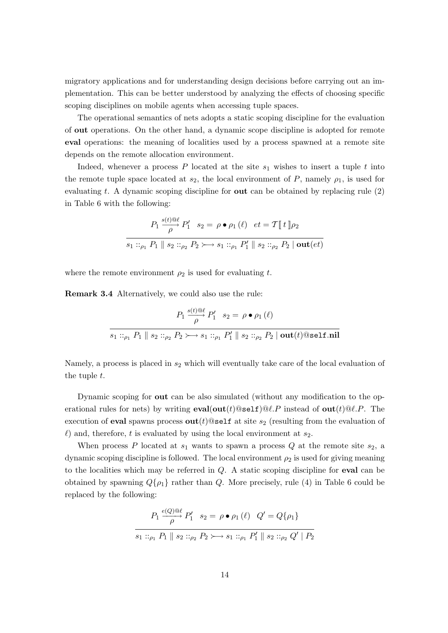migratory applications and for understanding design decisions before carrying out an implementation. This can be better understood by analyzing the effects of choosing specific scoping disciplines on mobile agents when accessing tuple spaces.

The operational semantics of nets adopts a static scoping discipline for the evaluation of out operations. On the other hand, a dynamic scope discipline is adopted for remote eval operations: the meaning of localities used by a process spawned at a remote site depends on the remote allocation environment.

Indeed, whenever a process  $P$  located at the site  $s_1$  wishes to insert a tuple  $t$  into the remote tuple space located at  $s_2$ , the local environment of P, namely  $\rho_1$ , is used for evaluating t. A dynamic scoping discipline for **out** can be obtained by replacing rule  $(2)$ in Table 6 with the following:

$$
P_1 \xrightarrow{\text{s}(t) \otimes \ell} P_1' \quad \text{s}_2 = \rho \bullet \rho_1(\ell) \quad \text{et} = \mathcal{T} \llbracket t \rrbracket \rho_2
$$
\n
$$
\overline{\text{s}_1 ::_{\rho_1} P_1 \parallel \text{s}_2 ::_{\rho_2} P_2 \rightarrowtail \text{s}_1 ::_{\rho_1} P_1' \parallel \text{s}_2 ::_{\rho_2} P_2 \mid \text{out}(et)}
$$

where the remote environment  $\rho_2$  is used for evaluating t.

Remark 3.4 Alternatively, we could also use the rule:

$$
P_1 \xrightarrow{\text{s(t)} \otimes \ell} P_1' \quad s_2 = \rho \bullet \rho_1(\ell)
$$
\n
$$
s_1 ::_{\rho_1} P_1 \parallel s_2 ::_{\rho_2} P_2 \rightarrowtail s_1 ::_{\rho_1} P_1' \parallel s_2 ::_{\rho_2} P_2 \mid \text{out}(t) \textcircled{1} \text{self.nil}
$$

Namely, a process is placed in  $s_2$  which will eventually take care of the local evaluation of the tuple t.

Dynamic scoping for out can be also simulated (without any modification to the operational rules for nets) by writing  $eval(out(t)@self)@l.P$  instead of  $out(t)@l.P$ . The execution of **eval** spawns process **out**(*t*)@self at site  $s_2$  (resulting from the evaluation of  $\ell$ ) and, therefore, t is evaluated by using the local environment at  $s_2$ .

When process P located at  $s_1$  wants to spawn a process Q at the remote site  $s_2$ , a dynamic scoping discipline is followed. The local environment  $\rho_2$  is used for giving meaning to the localities which may be referred in Q. A static scoping discipline for eval can be obtained by spawning  $Q\{\rho_1\}$  rather than Q. More precisely, rule (4) in Table 6 could be replaced by the following:

$$
P_1 \xrightarrow{e(Q) \otimes \ell} P'_1 \quad s_2 = \rho \bullet \rho_1(\ell) \quad Q' = Q\{\rho_1\}
$$

$$
s_1 ::_{\rho_1} P_1 \parallel s_2 ::_{\rho_2} P_2 \rightarrowtail s_1 ::_{\rho_1} P'_1 \parallel s_2 ::_{\rho_2} Q' \mid P_2
$$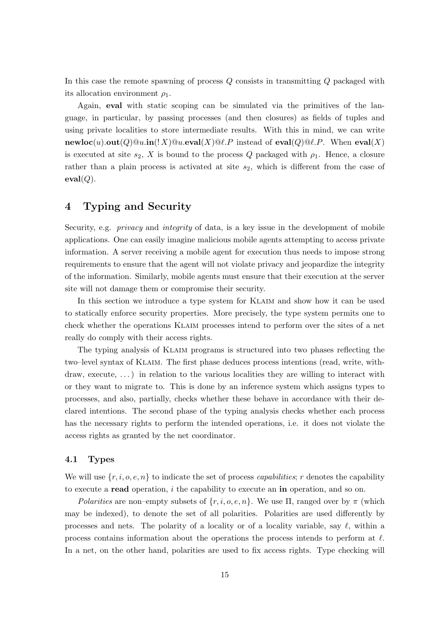In this case the remote spawning of process Q consists in transmitting Q packaged with its allocation environment  $\rho_1$ .

Again, eval with static scoping can be simulated via the primitives of the language, in particular, by passing processes (and then closures) as fields of tuples and using private localities to store intermediate results. With this in mind, we can write  $newloc(u).out(Q) @u.in(! X) @u.eval(X) @l.P \text{ instead of } eval(Q) @l.P. \text{ When } eval(X)$ is executed at site  $s_2$ , X is bound to the process Q packaged with  $\rho_1$ . Hence, a closure rather than a plain process is activated at site  $s_2$ , which is different from the case of  $eval(Q).$ 

# 4 Typing and Security

Security, e.g. *privacy* and *integrity* of data, is a key issue in the development of mobile applications. One can easily imagine malicious mobile agents attempting to access private information. A server receiving a mobile agent for execution thus needs to impose strong requirements to ensure that the agent will not violate privacy and jeopardize the integrity of the information. Similarly, mobile agents must ensure that their execution at the server site will not damage them or compromise their security.

In this section we introduce a type system for KLAIM and show how it can be used to statically enforce security properties. More precisely, the type system permits one to check whether the operations Klaim processes intend to perform over the sites of a net really do comply with their access rights.

The typing analysis of Klaim programs is structured into two phases reflecting the two–level syntax of Klaim. The first phase deduces process intentions (read, write, withdraw, execute, . . . ) in relation to the various localities they are willing to interact with or they want to migrate to. This is done by an inference system which assigns types to processes, and also, partially, checks whether these behave in accordance with their declared intentions. The second phase of the typing analysis checks whether each process has the necessary rights to perform the intended operations, i.e. it does not violate the access rights as granted by the net coordinator.

### 4.1 Types

We will use  $\{r, i, o, e, n\}$  to indicate the set of process *capabilities*; r denotes the capability to execute a read operation, i the capability to execute an in operation, and so on.

Polarities are non–empty subsets of  $\{r, i, o, e, n\}$ . We use  $\Pi$ , ranged over by  $\pi$  (which may be indexed), to denote the set of all polarities. Polarities are used differently by processes and nets. The polarity of a locality or of a locality variable, say  $\ell$ , within a process contains information about the operations the process intends to perform at  $\ell$ . In a net, on the other hand, polarities are used to fix access rights. Type checking will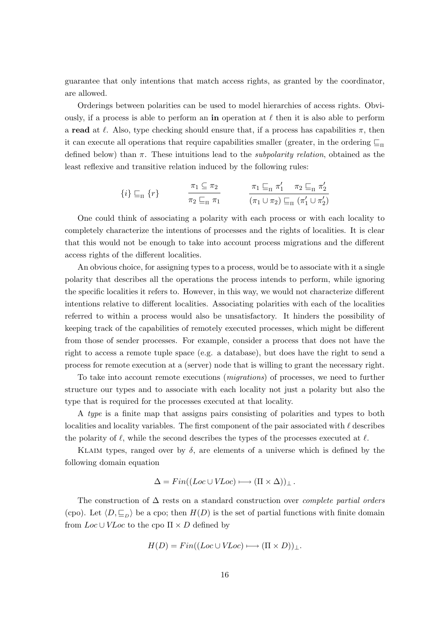guarantee that only intentions that match access rights, as granted by the coordinator, are allowed.

Orderings between polarities can be used to model hierarchies of access rights. Obviously, if a process is able to perform an in operation at  $\ell$  then it is also able to perform a read at  $\ell$ . Also, type checking should ensure that, if a process has capabilities  $\pi$ , then it can execute all operations that require capabilities smaller (greater, in the ordering  $\mathbb{I}_{\Pi}$ defined below) than  $\pi$ . These intuitions lead to the *subpolarity relation*, obtained as the least reflexive and transitive relation induced by the following rules:

$$
\{i\} \sqsubseteq_{\Pi} \{r\} \qquad \frac{\pi_1 \subseteq \pi_2}{\pi_2 \sqsubseteq_{\Pi} \pi_1} \qquad \frac{\pi_1 \sqsubseteq_{\Pi} \pi_1' \quad \pi_2 \sqsubseteq_{\Pi} \pi_2'}{(\pi_1 \cup \pi_2) \sqsubseteq_{\Pi} (\pi_1' \cup \pi_2')}
$$

One could think of associating a polarity with each process or with each locality to completely characterize the intentions of processes and the rights of localities. It is clear that this would not be enough to take into account process migrations and the different access rights of the different localities.

An obvious choice, for assigning types to a process, would be to associate with it a single polarity that describes all the operations the process intends to perform, while ignoring the specific localities it refers to. However, in this way, we would not characterize different intentions relative to different localities. Associating polarities with each of the localities referred to within a process would also be unsatisfactory. It hinders the possibility of keeping track of the capabilities of remotely executed processes, which might be different from those of sender processes. For example, consider a process that does not have the right to access a remote tuple space (e.g. a database), but does have the right to send a process for remote execution at a (server) node that is willing to grant the necessary right.

To take into account remote executions (migrations) of processes, we need to further structure our types and to associate with each locality not just a polarity but also the type that is required for the processes executed at that locality.

A type is a finite map that assigns pairs consisting of polarities and types to both localities and locality variables. The first component of the pair associated with  $\ell$  describes the polarity of  $\ell$ , while the second describes the types of the processes executed at  $\ell$ .

KLAIM types, ranged over by  $\delta$ , are elements of a universe which is defined by the following domain equation

$$
\Delta = Fin((Loc \cup VLoc) \longmapsto (\Pi \times \Delta))_{\perp}.
$$

The construction of  $\Delta$  rests on a standard construction over *complete partial orders* (cpo). Let  $\langle D, \underline{\sqsubseteq}_D \rangle$  be a cpo; then  $H(D)$  is the set of partial functions with finite domain from  $Loc \cup VLoc$  to the cpo  $\Pi \times D$  defined by

$$
H(D) = Fin((Loc \cup VLoc) \longmapsto (\Pi \times D))_{\perp}.
$$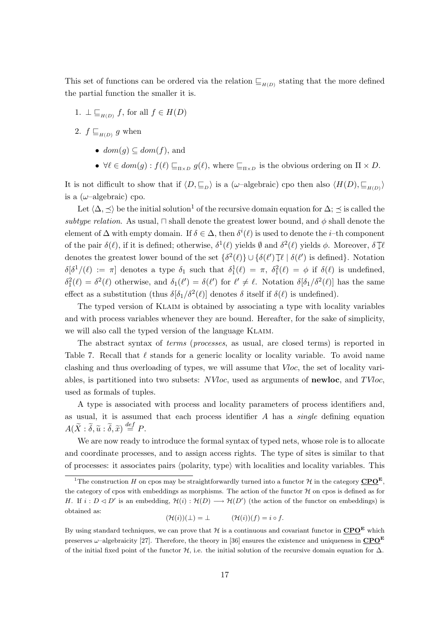This set of functions can be ordered via the relation  $\mathcal{L}_{H(D)}$  stating that the more defined the partial function the smaller it is.

1.  $\perp \sqsubseteq_{H(D)} f$ , for all  $f \in H(D)$ 

2.  $f \sqsubseteq_{H(D)} g$  when

- $dom(q) \subseteq dom(f)$ , and
- $\forall \ell \in dom(g) : f(\ell) \sqsubseteq_{\Pi \times D} g(\ell)$ , where  $\sqsubseteq_{\Pi \times D}$  is the obvious ordering on  $\Pi \times D$ .

It is not difficult to show that if  $\langle D, \underline{\sqsubseteq}_D \rangle$  is a ( $\omega$ -algebraic) cpo then also  $\langle H(D), \underline{\sqsubseteq}_{H(D)} \rangle$ is a  $(\omega$ -algebraic) cpo.

Let  $\langle \Delta, \preceq \rangle$  be the initial solution<sup>1</sup> of the recursive domain equation for  $\Delta$ ;  $\preceq$  is called the subtype relation. As usual,  $\Box$  shall denote the greatest lower bound, and  $\phi$  shall denote the element of  $\Delta$  with empty domain. If  $\delta \in \Delta$ , then  $\delta^i(\ell)$  is used to denote the *i*–th component of the pair  $\delta(\ell)$ , if it is defined; otherwise,  $\delta^1(\ell)$  yields  $\emptyset$  and  $\delta^2(\ell)$  yields  $\phi$ . Moreover,  $\delta \bar{\downarrow} \ell$ denotes the greatest lower bound of the set  $\{\delta^2(\ell)\}\cup \{\delta(\ell')\top \ell \mid \delta(\ell')\}$  is defined}. Notation  $\delta[\delta^1/(\ell) := \pi]$  denotes a type  $\delta_1$  such that  $\delta_1^1(\ell) = \pi$ ,  $\delta_1^2(\ell) = \phi$  if  $\delta(\ell)$  is undefined,  $\delta_1^2(\ell) = \delta^2(\ell)$  otherwise, and  $\delta_1(\ell') = \delta(\ell')$  for  $\ell' \neq \ell$ . Notation  $\delta[\delta_1/\delta^2(\ell)]$  has the same effect as a substitution (thus  $\delta[\delta_1/\delta^2(\ell)]$  denotes  $\delta$  itself if  $\delta(\ell)$  is undefined).

The typed version of KLAIM is obtained by associating a type with locality variables and with process variables whenever they are bound. Hereafter, for the sake of simplicity, we will also call the typed version of the language KLAIM.

The abstract syntax of terms (processes, as usual, are closed terms) is reported in Table 7. Recall that  $\ell$  stands for a generic locality or locality variable. To avoid name clashing and thus overloading of types, we will assume that *Vloc*, the set of locality variables, is partitioned into two subsets:  $N$ Vloc, used as arguments of **newloc**, and TVloc, used as formals of tuples.

A type is associated with process and locality parameters of process identifiers and, as usual, it is assumed that each process identifier  $A$  has a *single* defining equation  $A(\widetilde{X} : \widetilde{\delta}, \widetilde{u} : \widetilde{\delta}, \widetilde{x}) \stackrel{def}{=} P.$ 

We are now ready to introduce the formal syntax of typed nets, whose role is to allocate and coordinate processes, and to assign access rights. The type of sites is similar to that of processes: it associates pairs  $\langle$  polarity, type $\rangle$  with localities and locality variables. This

$$
(\mathcal{H}(i))(\bot) = \bot \qquad (\mathcal{H}(i))(f) = i \circ f.
$$

<sup>&</sup>lt;sup>1</sup>The construction H on cpos may be straightforwardly turned into a functor  $H$  in the category CPO<sup>E</sup> the category of cpos with embeddings as morphisms. The action of the functor  $\mathcal H$  on cpos is defined as for H. If  $i : D \triangleleft D'$  is an embedding,  $\mathcal{H}(i) : \mathcal{H}(D) \longrightarrow \mathcal{H}(D')$  (the action of the functor on embeddings) is obtained as:

By using standard techniques, we can prove that  $H$  is a continuous and covariant functor in  $\text{CPO}^{\text{E}}$  which preserves  $\omega$ –algebraicity [27]. Therefore, the theory in [36] ensures the existence and uniqueness in  $\text{CPO}^{\text{E}}$ of the initial fixed point of the functor  $H$ , i.e. the initial solution of the recursive domain equation for  $\Delta$ .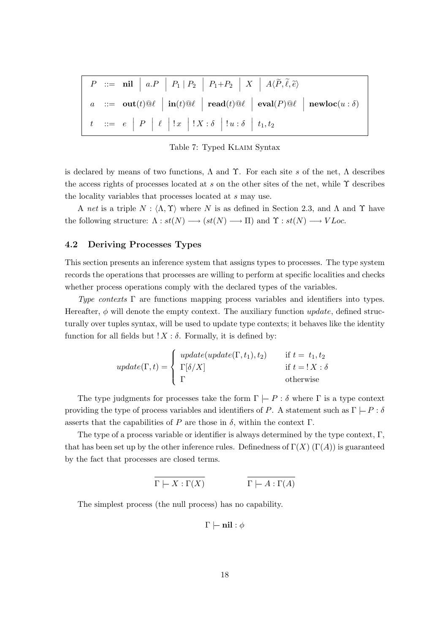| $P := \textbf{nil} \mid a.P \mid P_1 \mid P_2 \mid P_1 + P_2 \mid X \mid A \langle \tilde{P}, \tilde{\ell}, \tilde{\epsilon} \rangle$                                                    |  |  |
|------------------------------------------------------------------------------------------------------------------------------------------------------------------------------------------|--|--|
| $a$ ::= $\textbf{out}(t) \mathbb{Q} \ell \mid \textbf{in}(t) \mathbb{Q} \ell \mid \textbf{read}(t) \mathbb{Q} \ell \mid \textbf{eval}(P) \mathbb{Q} \ell \mid \textbf{newloc}(u:\delta)$ |  |  |
| $t$ : $e \mid P \mid \ell \mid !x \mid !X : \delta \mid !u : \delta \mid t_1,t_2$                                                                                                        |  |  |

Table 7: Typed Klaim Syntax

is declared by means of two functions,  $\Lambda$  and  $\Upsilon$ . For each site s of the net,  $\Lambda$  describes the access rights of processes located at s on the other sites of the net, while  $\Upsilon$  describes the locality variables that processes located at s may use.

A net is a triple  $N : \langle \Lambda, \Upsilon \rangle$  where N is as defined in Section 2.3, and  $\Lambda$  and  $\Upsilon$  have the following structure:  $\Lambda : st(N) \longrightarrow (st(N) \longrightarrow \Pi)$  and  $\Upsilon : st(N) \longrightarrow VLoc$ .

### 4.2 Deriving Processes Types

This section presents an inference system that assigns types to processes. The type system records the operations that processes are willing to perform at specific localities and checks whether process operations comply with the declared types of the variables.

Type contexts  $\Gamma$  are functions mapping process variables and identifiers into types. Hereafter,  $\phi$  will denote the empty context. The auxiliary function update, defined structurally over tuples syntax, will be used to update type contexts; it behaves like the identity function for all fields but  $X : \delta$ . Formally, it is defined by:

$$
update(\Gamma, t) = \begin{cases} update(update(\Gamma, t_1), t_2) & \text{if } t = t_1, t_2 \\ \Gamma[\delta/X] & \text{if } t = !X : \delta \\ \Gamma & \text{otherwise} \end{cases}
$$

The type judgments for processes take the form  $\Gamma \vdash P : \delta$  where  $\Gamma$  is a type context providing the type of process variables and identifiers of P. A statement such as  $\Gamma \vdash P : \delta$ asserts that the capabilities of P are those in  $\delta$ , within the context Γ.

The type of a process variable or identifier is always determined by the type context,  $\Gamma$ , that has been set up by the other inference rules. Definedness of  $\Gamma(X)$  ( $\Gamma(A)$ ) is guaranteed by the fact that processes are closed terms.

$$
\Gamma \vdash X : \Gamma(X) \qquad \qquad \Gamma \vdash A : \Gamma(A)
$$

The simplest process (the null process) has no capability.

$$
\Gamma \models \mathbf{nil} : \phi
$$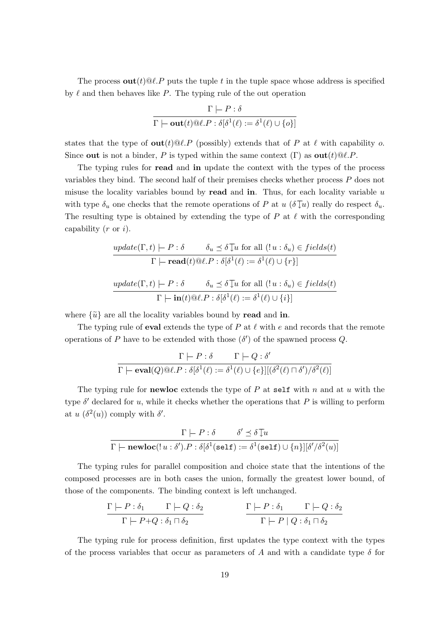The process  $\text{out}(t) \mathbb{Q} \ell \mathbb{P}$  puts the tuple t in the tuple space whose address is specified by  $\ell$  and then behaves like P. The typing rule of the out operation

$$
\frac{\Gamma \vdash P : \delta}{\Gamma \vdash \textbf{out}(t) @ \ell.P : \delta[\delta^1(\ell) := \delta^1(\ell) \cup \{o\}]}
$$

states that the type of  $out(t)@l.P$  (possibly) extends that of P at  $\ell$  with capability o. Since out is not a binder, P is typed within the same context  $(Γ)$  as out $(t)@l.P$ .

The typing rules for read and in update the context with the types of the process variables they bind. The second half of their premises checks whether process P does not misuse the locality variables bound by read and in. Thus, for each locality variable  $u$ with type  $\delta_u$  one checks that the remote operations of P at u  $(\delta \bar{\downarrow} u)$  really do respect  $\delta_u$ . The resulting type is obtained by extending the type of  $P$  at  $\ell$  with the corresponding capability  $(r \text{ or } i)$ .

$$
\frac{update(\Gamma, t) \models P : \delta \qquad \delta_u \leq \delta \mathbb{T}u \text{ for all } (!u : \delta_u) \in fields(t)}{\Gamma \models \mathbf{read}(t) @ \ell.P : \delta[\delta^1(\ell) := \delta^1(\ell) \cup \{r\}]}
$$
\n
$$
\frac{update(\Gamma, t) \models P : \delta \qquad \delta_u \leq \delta \mathbb{T}u \text{ for all } (!u : \delta_u) \in fields(t)}{\Gamma \models \mathbf{in}(t) @ \ell.P : \delta[\delta^1(\ell) := \delta^1(\ell) \cup \{i\}]}
$$

where  $\{\tilde{u}\}\$  are all the locality variables bound by read and in.

The typing rule of **eval** extends the type of P at  $\ell$  with e and records that the remote operations of P have to be extended with those  $(\delta')$  of the spawned process Q.

$$
\dfrac{\Gamma\vdash P:\delta\qquad \Gamma\vdash Q:\delta'}{\Gamma\vdash \mathbf{eval}(Q) @ \ell.P: \delta[\delta^1(\ell):=\delta^1(\ell)\cup\{e\}][(\delta^2(\ell)\sqcap\delta')/\delta^2(\ell)]}
$$

The typing rule for **newloc** extends the type of P at self with n and at u with the type  $\delta'$  declared for u, while it checks whether the operations that P is willing to perform at  $u \, (\delta^2(u))$  comply with  $\delta'$ .

$$
\frac{\Gamma \mid P : \delta \qquad \delta' \preceq \delta \mathbb{T} u}{\Gamma \mid \mathbf{newloc}(!u : \delta').P : \delta[\delta^1(\mathbf{self}) := \delta^1(\mathbf{self}) \cup \{n\}][\delta'/\delta^2(u)]}
$$

The typing rules for parallel composition and choice state that the intentions of the composed processes are in both cases the union, formally the greatest lower bound, of those of the components. The binding context is left unchanged.

$$
\frac{\Gamma \mid P : \delta_1 \qquad \Gamma \mid Q : \delta_2}{\Gamma \mid P + Q : \delta_1 \sqcap \delta_2} \qquad \qquad \frac{\Gamma \mid P : \delta_1 \qquad \Gamma \mid Q : \delta_2}{\Gamma \mid P \mid Q : \delta_1 \sqcap \delta_2}
$$

The typing rule for process definition, first updates the type context with the types of the process variables that occur as parameters of A and with a candidate type  $\delta$  for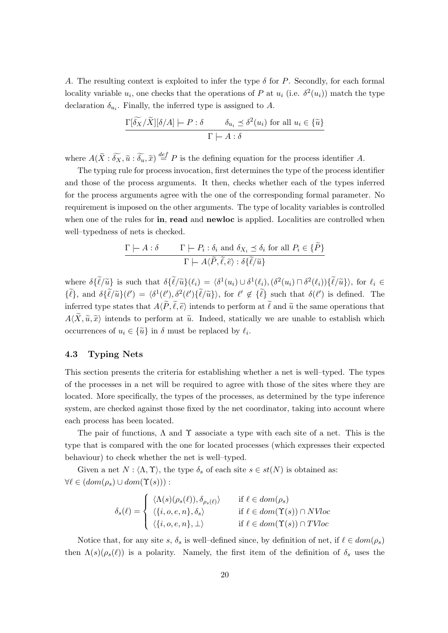A. The resulting context is exploited to infer the type  $\delta$  for P. Secondly, for each formal locality variable  $u_i$ , one checks that the operations of P at  $u_i$  (i.e.  $\delta^2(u_i)$ ) match the type declaration  $\delta_{u_i}$ . Finally, the inferred type is assigned to A.

$$
\frac{\Gamma[\widetilde{\delta_X}/\widetilde{X}][\delta/A] \models P : \delta \qquad \delta_{u_i} \leq \delta^2(u_i) \text{ for all } u_i \in \{\widetilde{u}\}
$$

$$
\Gamma \models A : \delta
$$

where  $A(\tilde{X} : \widetilde{\delta_X}, \tilde{u} : \widetilde{\delta_u}, \tilde{x}) \stackrel{def}{=} P$  is the defining equation for the process identifier A.

The typing rule for process invocation, first determines the type of the process identifier and those of the process arguments. It then, checks whether each of the types inferred for the process arguments agree with the one of the corresponding formal parameter. No requirement is imposed on the other arguments. The type of locality variables is controlled when one of the rules for **in, read and newloc** is applied. Localities are controlled when well–typedness of nets is checked.

$$
\frac{\Gamma \mid A : \delta \qquad \Gamma \mid P_i : \delta_i \text{ and } \delta_{X_i} \preceq \delta_i \text{ for all } P_i \in \{P\}}{\Gamma \mid A \langle \tilde{P}, \tilde{\ell}, \tilde{e} \rangle : \delta \{\tilde{\ell}/\tilde{u}\}}
$$

where  $\delta\{\tilde{\ell}/\tilde{u}\}$  is such that  $\delta\{\tilde{\ell}/\tilde{u}\}(\ell_i) = \langle \delta^1(u_i) \cup \delta^1(\ell_i), (\delta^2(u_i) \cap \delta^2(\ell_i))\{\tilde{\ell}/\tilde{u}\}\rangle$ , for  $\ell_i \in \tilde{\mathbb{R}}$  $\{\tilde{\ell}\},$  and  $\delta\{\tilde{\ell}/\tilde{u}\}(\ell') = \langle \delta^1(\ell'), \delta^2(\ell')\{\tilde{\ell}/\tilde{u}\}\rangle$ , for  $\ell' \notin \{\tilde{\ell}\}$  such that  $\delta(\ell')$  is defined. The inferred type states that  $A\langle\widetilde{P}, \widetilde{\ell}, \widetilde{e}\rangle$  intends to perform at  $\widetilde{\ell}$  and  $\widetilde{u}$  the same operations that  $A\langle\tilde{X}, \tilde{u}, \tilde{x}\rangle$  intends to perform at  $\tilde{u}$ . Indeed, statically we are unable to establish which occurrences of  $u_i \in {\tilde{u}}\}$  in  $\delta$  must be replaced by  $\ell_i$ .

### 4.3 Typing Nets

This section presents the criteria for establishing whether a net is well–typed. The types of the processes in a net will be required to agree with those of the sites where they are located. More specifically, the types of the processes, as determined by the type inference system, are checked against those fixed by the net coordinator, taking into account where each process has been located.

The pair of functions,  $\Lambda$  and  $\Upsilon$  associate a type with each site of a net. This is the type that is compared with the one for located processes (which expresses their expected behaviour) to check whether the net is well–typed.

Given a net  $N : \langle \Lambda, \Upsilon \rangle$ , the type  $\delta_s$  of each site  $s \in st(N)$  is obtained as:  $\forall \ell \in (dom(\rho_s) \cup dom(\Upsilon(s)))$ :

$$
\delta_s(\ell) = \begin{cases} \langle \Lambda(s)(\rho_s(\ell)), \delta_{\rho_s(\ell)} \rangle & \text{if } \ell \in dom(\rho_s) \\ \langle \{i, o, e, n\}, \delta_s \rangle & \text{if } \ell \in dom(\Upsilon(s)) \cap NVloc \\ \langle \{i, o, e, n\}, \bot \rangle & \text{if } \ell \in dom(\Upsilon(s)) \cap TVloc \end{cases}
$$

Notice that, for any site s,  $\delta_s$  is well–defined since, by definition of net, if  $\ell \in dom(\rho_s)$ then  $\Lambda(s)(\rho_s(\ell))$  is a polarity. Namely, the first item of the definition of  $\delta_s$  uses the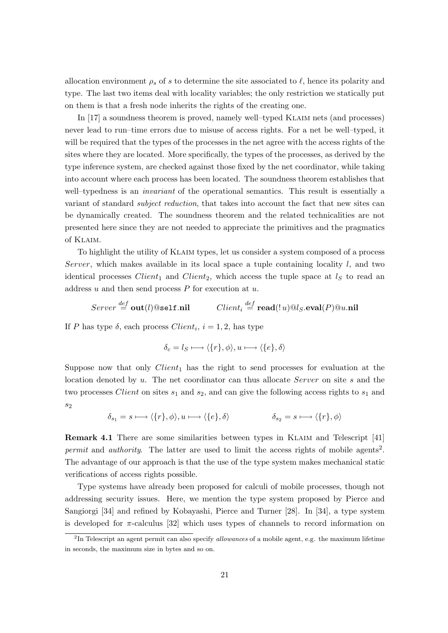allocation environment  $\rho_s$  of s to determine the site associated to  $\ell$ , hence its polarity and type. The last two items deal with locality variables; the only restriction we statically put on them is that a fresh node inherits the rights of the creating one.

In [17] a soundness theorem is proved, namely well–typed KLAIM nets (and processes) never lead to run–time errors due to misuse of access rights. For a net be well–typed, it will be required that the types of the processes in the net agree with the access rights of the sites where they are located. More specifically, the types of the processes, as derived by the type inference system, are checked against those fixed by the net coordinator, while taking into account where each process has been located. The soundness theorem establishes that well–typedness is an *invariant* of the operational semantics. This result is essentially a variant of standard subject reduction, that takes into account the fact that new sites can be dynamically created. The soundness theorem and the related technicalities are not presented here since they are not needed to appreciate the primitives and the pragmatics of Klaim.

To highlight the utility of KLAIM types, let us consider a system composed of a process Server, which makes available in its local space a tuple containing locality  $l$ , and two identical processes  $Client_1$  and  $Client_2$ , which access the tuple space at  $l_S$  to read an address  $u$  and then send process  $P$  for execution at  $u$ .

$$
Server \stackrel{def}{=} \textbf{out}(l)@\textbf{self}.\textbf{nil} \qquad \quad Client_i \stackrel{def}{=} \textbf{read}(!\, u)@\, \textbf{eval}(P)@\, \textbf{nil}
$$

If P has type  $\delta$ , each process  $Client_i$ ,  $i = 1, 2$ , has type

$$
\delta_c = l_S \longmapsto \langle \{r\}, \phi \rangle, u \longmapsto \langle \{e\}, \delta \rangle
$$

Suppose now that only  $Client_1$  has the right to send processes for evaluation at the location denoted by u. The net coordinator can thus allocate Server on site s and the two processes *Client* on sites  $s_1$  and  $s_2$ , and can give the following access rights to  $s_1$  and  $s<sub>2</sub>$ 

$$
\delta_{s_1} = s \longmapsto \langle \{r\}, \phi \rangle, u \longmapsto \langle \{e\}, \delta \rangle \qquad \qquad \delta_{s_2} = s \longmapsto \langle \{r\}, \phi \rangle
$$

Remark 4.1 There are some similarities between types in KLAIM and Telescript [41] permit and *authority*. The latter are used to limit the access rights of mobile agents<sup>2</sup>. The advantage of our approach is that the use of the type system makes mechanical static verifications of access rights possible.

Type systems have already been proposed for calculi of mobile processes, though not addressing security issues. Here, we mention the type system proposed by Pierce and Sangiorgi [34] and refined by Kobayashi, Pierce and Turner [28]. In [34], a type system is developed for  $\pi$ -calculus [32] which uses types of channels to record information on

<sup>&</sup>lt;sup>2</sup>In Telescript an agent permit can also specify *allowances* of a mobile agent, e.g. the maximum lifetime in seconds, the maximum size in bytes and so on.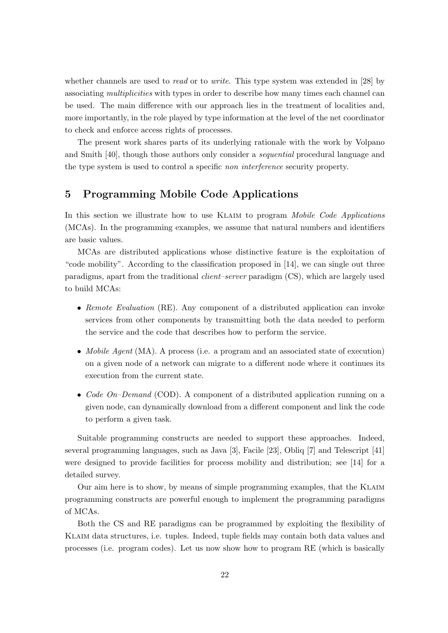whether channels are used to *read* or to *write*. This type system was extended in [28] by associating *multiplicities* with types in order to describe how many times each channel can be used. The main difference with our approach lies in the treatment of localities and, more importantly, in the role played by type information at the level of the net coordinator to check and enforce access rights of processes.

The present work shares parts of its underlying rationale with the work by Volpano and Smith [40], though those authors only consider a sequential procedural language and the type system is used to control a specific non interference security property.

# 5 Programming Mobile Code Applications

In this section we illustrate how to use KLAIM to program *Mobile Code Applications* (MCAs). In the programming examples, we assume that natural numbers and identifiers are basic values.

MCAs are distributed applications whose distinctive feature is the exploitation of "code mobility". According to the classification proposed in [14], we can single out three paradigms, apart from the traditional client–server paradigm (CS), which are largely used to build MCAs:

- Remote Evaluation (RE). Any component of a distributed application can invoke services from other components by transmitting both the data needed to perform the service and the code that describes how to perform the service.
- Mobile Agent (MA). A process (i.e. a program and an associated state of execution) on a given node of a network can migrate to a different node where it continues its execution from the current state.
- Code On–Demand (COD). A component of a distributed application running on a given node, can dynamically download from a different component and link the code to perform a given task.

Suitable programming constructs are needed to support these approaches. Indeed, several programming languages, such as Java [3], Facile [23], Obliq [7] and Telescript [41] were designed to provide facilities for process mobility and distribution; see [14] for a detailed survey.

Our aim here is to show, by means of simple programming examples, that the Klaim programming constructs are powerful enough to implement the programming paradigms of MCAs.

Both the CS and RE paradigms can be programmed by exploiting the flexibility of Klaim data structures, i.e. tuples. Indeed, tuple fields may contain both data values and processes (i.e. program codes). Let us now show how to program RE (which is basically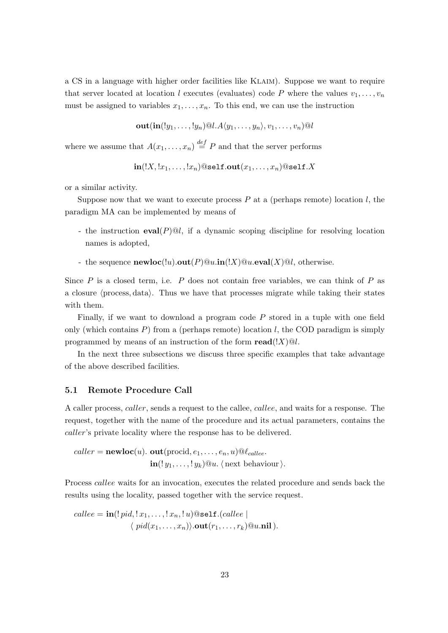a CS in a language with higher order facilities like Klaim). Suppose we want to require that server located at location l executes (evaluates) code P where the values  $v_1, \ldots, v_n$ must be assigned to variables  $x_1, \ldots, x_n$ . To this end, we can use the instruction

$$
\mathbf{out}(\mathbf{in}(!y_1,\ldots,!y_n)@l.A\langle y_1,\ldots, y_n\rangle, v_1,\ldots, v_n)@l
$$

where we assume that  $A(x_1,...,x_n) \stackrel{def}{=} P$  and that the server performs

 $in(!X, !x_1, \ldots, !x_n)$ @self.out $(x_1, \ldots, x_n)$ @self.X

or a similar activity.

Suppose now that we want to execute process  $P$  at a (perhaps remote) location  $l$ , the paradigm MA can be implemented by means of

- the instruction  $eval(P)@l$ , if a dynamic scoping discipline for resolving location names is adopted,
- the sequence  $\mathbf{newloc}(!u) \cdot \mathbf{out}(P) @u \cdot \mathbf{in}(!X) @u \cdot \mathbf{eval}(X) @l, \text{ otherwise.}$

Since  $P$  is a closed term, i.e.  $P$  does not contain free variables, we can think of  $P$  as a closure  $\langle$  process, data $\rangle$ . Thus we have that processes migrate while taking their states with them.

Finally, if we want to download a program code P stored in a tuple with one field only (which contains  $P$ ) from a (perhaps remote) location l, the COD paradigm is simply programmed by means of an instruction of the form  $\text{read}(X) \textcircled{d}l$ .

In the next three subsections we discuss three specific examples that take advantage of the above described facilities.

### 5.1 Remote Procedure Call

A caller process, caller, sends a request to the callee, callee, and waits for a response. The request, together with the name of the procedure and its actual parameters, contains the caller's private locality where the response has to be delivered.

 $\text{caller} = \text{newloc}(u)$ .  $\text{out}(\text{procid}, e_1, \ldots, e_n, u) \mathcal{Q} \ell_{\text{callee}}.$  $\text{in}(\nvert y_1,\ldots,\nvert y_k)\mathbb{Q} u.$  (next behaviour).

Process callee waits for an invocation, executes the related procedure and sends back the results using the locality, passed together with the service request.

$$
called = \mathbf{in}(!pid, !x_1, \dots, !x_n, !u)@ \mathbf{self}.(called |\langle pid(x_1, \dots, x_n) \rangle . \mathbf{out}(r_1, \dots, r_k)@u. \mathbf{nil}).
$$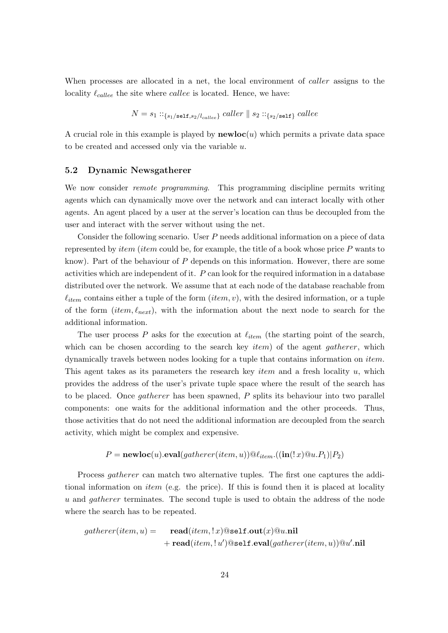When processes are allocated in a net, the local environment of *caller* assigns to the locality  $\ell_{\text{callee}}$  the site where *callee* is located. Hence, we have:

$$
N = s_1 ::_{s_1/s_1, s_2/l_{\text{called}}} \text{ caller } || s_2 ::_{s_2/s_1} \text{ called}
$$

A crucial role in this example is played by  $\mathbf{newloc}(u)$  which permits a private data space to be created and accessed only via the variable  $u$ .

#### 5.2 Dynamic Newsgatherer

We now consider *remote programming*. This programming discipline permits writing agents which can dynamically move over the network and can interact locally with other agents. An agent placed by a user at the server's location can thus be decoupled from the user and interact with the server without using the net.

Consider the following scenario. User P needs additional information on a piece of data represented by *item (item could be, for example, the title of a book whose price P wants to* know). Part of the behaviour of  $P$  depends on this information. However, there are some activities which are independent of it. P can look for the required information in a database distributed over the network. We assume that at each node of the database reachable from  $\ell_{item}$  contains either a tuple of the form  $item, v)$ , with the desired information, or a tuple of the form  $item, \ell_{next})$ , with the information about the next node to search for the additional information.

The user process P asks for the execution at  $\ell_{item}$  (the starting point of the search, which can be chosen according to the search key *item*) of the agent *gatherer*, which dynamically travels between nodes looking for a tuple that contains information on item. This agent takes as its parameters the research key *item* and a fresh locality  $u$ , which provides the address of the user's private tuple space where the result of the search has to be placed. Once gatherer has been spawned, P splits its behaviour into two parallel components: one waits for the additional information and the other proceeds. Thus, those activities that do not need the additional information are decoupled from the search activity, which might be complex and expensive.

$$
P = \mathbf{newloc}(u).\mathbf{eval}(gatherer(item, u))@l_{item}.((\mathbf{in}(!x)@u.P_1)|P_2)
$$

Process *gatherer* can match two alternative tuples. The first one captures the additional information on *item* (e.g. the price). If this is found then it is placed at locality u and gatherer terminates. The second tuple is used to obtain the address of the node where the search has to be repeated.

$$
gatherer (item, u) = \textbf{read}(item, !x) @ \textbf{self.out}(x) @ u.\textbf{nil}\\ + \textbf{read}(item, !u') @ \textbf{self.eval}(gatherer (item, u)) @ u'.\textbf{nil}\\
$$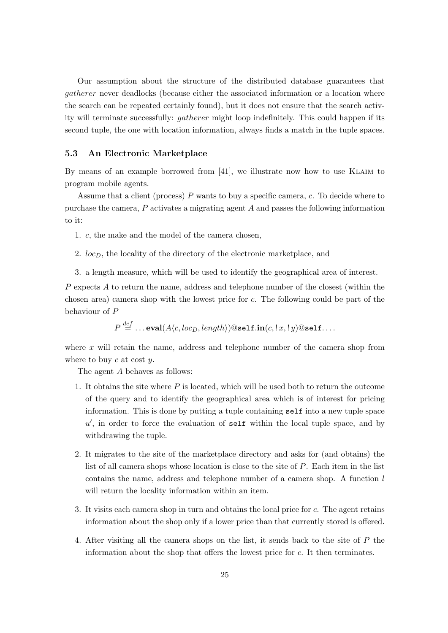Our assumption about the structure of the distributed database guarantees that gatherer never deadlocks (because either the associated information or a location where the search can be repeated certainly found), but it does not ensure that the search activity will terminate successfully: gatherer might loop indefinitely. This could happen if its second tuple, the one with location information, always finds a match in the tuple spaces.

#### 5.3 An Electronic Marketplace

By means of an example borrowed from [41], we illustrate now how to use KLAIM to program mobile agents.

Assume that a client (process) P wants to buy a specific camera, c. To decide where to purchase the camera, P activates a migrating agent A and passes the following information to it:

1. c, the make and the model of the camera chosen,

2.  $loc_D$ , the locality of the directory of the electronic marketplace, and

3. a length measure, which will be used to identify the geographical area of interest.

P expects A to return the name, address and telephone number of the closest (within the chosen area) camera shop with the lowest price for c. The following could be part of the behaviour of P

 $P\overset{def}{=}\ldots \mathbf{eval}(A\langle c,loc_D, length \rangle) @ \mathtt{self.in}(c, !\, x, !\, y) @ \mathtt{self.}\ldots$ 

where  $x$  will retain the name, address and telephone number of the camera shop from where to buy  $c$  at cost  $y$ .

The agent A behaves as follows:

- 1. It obtains the site where  $P$  is located, which will be used both to return the outcome of the query and to identify the geographical area which is of interest for pricing information. This is done by putting a tuple containing self into a new tuple space  $u'$ , in order to force the evaluation of self within the local tuple space, and by withdrawing the tuple.
- 2. It migrates to the site of the marketplace directory and asks for (and obtains) the list of all camera shops whose location is close to the site of  $P$ . Each item in the list contains the name, address and telephone number of a camera shop. A function l will return the locality information within an item.
- 3. It visits each camera shop in turn and obtains the local price for c. The agent retains information about the shop only if a lower price than that currently stored is offered.
- 4. After visiting all the camera shops on the list, it sends back to the site of P the information about the shop that offers the lowest price for  $c$ . It then terminates.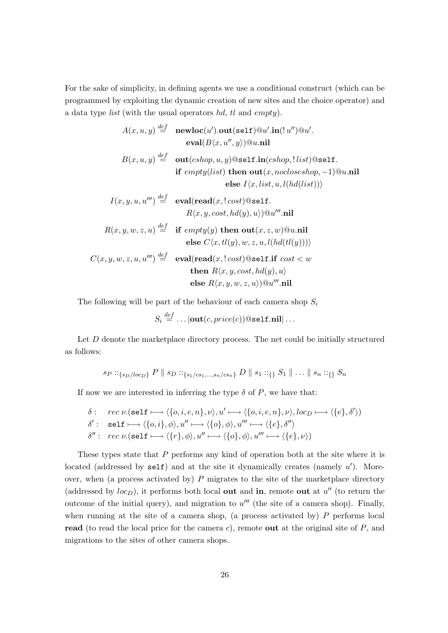For the sake of simplicity, in defining agents we use a conditional construct (which can be programmed by exploiting the dynamic creation of new sites and the choice operator) and a data type list (with the usual operators hd, tl and empty).

$$
A(x, u, y) \stackrel{def}{=} \text{newloc}(u').\text{out}(\text{self})@u'.\text{in}(!u'')@u'.\neval(B\langle x, u'', y\rangle)@u.nil\nB(x, u, y) \stackrel{def}{=} \text{out}(cshop, u, y)@self.in(cshop, !list)@self.\nif empty(list) then out(x, nocloseshop, -1)@u.nil\nelse I\langle x, list, u, l(hd(list)))\nI(x, y, u, u'') \stackrel{def}{=} \text{eval}(\text{read}(x, ! cost)@self.\nR\langle x, y, cost, hd(y), u\rangle)@u'''.\text{nil}\nR(x, y, w, z, u) \stackrel{def}{=} \text{if} empty(y) then out(x, z, w)@u.nil\nelse C\langle x, tl(y), w, z, u, l(hd(tl(y)))\nC(x, y, w, z, u, u'') \stackrel{def}{=} \text{eval}(\text{read}(x, ! cost)@self. \text{if} cost < w\nthen R\langle x, y, cost, hd(y), u\rangle\nelse R\langle x, y, w, z, u\rangle)@u'''.\text{nil}
$$

The following will be part of the behaviour of each camera shop  $S_i$ 

$$
S_i \overset{def}{=} \ldots |\textbf{out}(c, price(c))@ \textbf{self.nil}| \ldots
$$

Let D denote the marketplace directory process. The net could be initially structured as follows:

$$
s_P ::_{\{s_D / loc_D\}} P \parallel s_D ::_{\{s_1 / cs_1, ..., s_n / cs_n\}} D \parallel s_1 ::_{\{\} S_1 \parallel ... \parallel s_n ::_{\{\} S_n
$$

If now we are interested in inferring the type  $\delta$  of P, we have that:

$$
\delta: \text{ rec } \nu.(\text{self} \longmapsto \langle \{o, i, e, n\}, \nu \rangle, u' \longmapsto \langle \{o, i, e, n\}, \nu \rangle, loc_D \longmapsto \langle \{e\}, \delta' \rangle)
$$
  

$$
\delta': \text{ self } \longmapsto \langle \{o, i\}, \phi \rangle, u'' \longmapsto \langle \{o\}, \phi \rangle, u''' \longmapsto \langle \{e\}, \delta'' \rangle
$$
  

$$
\delta'': \text{ rec } \nu.(\text{self } \longmapsto \langle \{r\}, \phi \rangle, u'' \longmapsto \langle \{o\}, \phi \rangle, u''' \longmapsto \langle \{e\}, \nu \rangle)
$$

These types state that P performs any kind of operation both at the site where it is located (addressed by  $\texttt{self}$ ) and at the site it dynamically creates (namely  $u'$ ). Moreover, when (a process activated by)  $P$  migrates to the site of the marketplace directory (addressed by  $loc_D$ ), it performs both local out and in, remote out at  $u''$  (to return the outcome of the initial query), and migration to  $u'''$  (the site of a camera shop). Finally, when running at the site of a camera shop, (a process activated by)  $P$  performs local read (to read the local price for the camera  $c$ ), remote out at the original site of  $P$ , and migrations to the sites of other camera shops.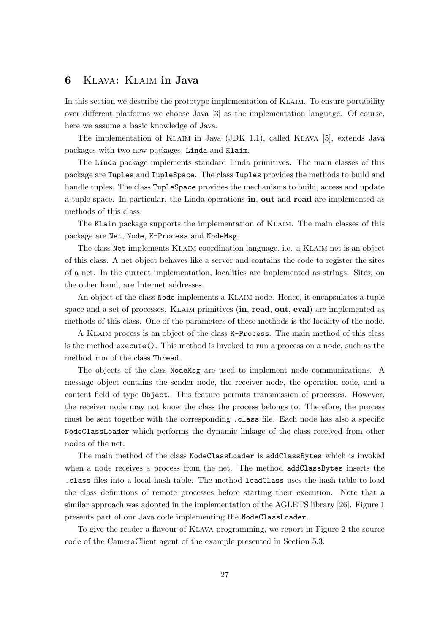## 6 Klava: Klaim in Java

In this section we describe the prototype implementation of KLAIM. To ensure portability over different platforms we choose Java [3] as the implementation language. Of course, here we assume a basic knowledge of Java.

The implementation of Klaim in Java (JDK 1.1), called Klava [5], extends Java packages with two new packages, Linda and Klaim.

The Linda package implements standard Linda primitives. The main classes of this package are Tuples and TupleSpace. The class Tuples provides the methods to build and handle tuples. The class TupleSpace provides the mechanisms to build, access and update a tuple space. In particular, the Linda operations in, out and read are implemented as methods of this class.

The Klaim package supports the implementation of Klaim. The main classes of this package are Net, Node, K-Process and NodeMsg.

The class Net implements KLAIM coordination language, i.e. a KLAIM net is an object of this class. A net object behaves like a server and contains the code to register the sites of a net. In the current implementation, localities are implemented as strings. Sites, on the other hand, are Internet addresses.

An object of the class Node implements a KLAIM node. Hence, it encapsulates a tuple space and a set of processes. KLAIM primitives (in, read, out, eval) are implemented as methods of this class. One of the parameters of these methods is the locality of the node.

A Klaim process is an object of the class K-Process. The main method of this class is the method execute(). This method is invoked to run a process on a node, such as the method run of the class Thread.

The objects of the class NodeMsg are used to implement node communications. A message object contains the sender node, the receiver node, the operation code, and a content field of type Object. This feature permits transmission of processes. However, the receiver node may not know the class the process belongs to. Therefore, the process must be sent together with the corresponding .class file. Each node has also a specific NodeClassLoader which performs the dynamic linkage of the class received from other nodes of the net.

The main method of the class NodeClassLoader is addClassBytes which is invoked when a node receives a process from the net. The method addClassBytes inserts the .class files into a local hash table. The method loadClass uses the hash table to load the class definitions of remote processes before starting their execution. Note that a similar approach was adopted in the implementation of the AGLETS library [26]. Figure 1 presents part of our Java code implementing the NodeClassLoader.

To give the reader a flavour of Klava programming, we report in Figure 2 the source code of the CameraClient agent of the example presented in Section 5.3.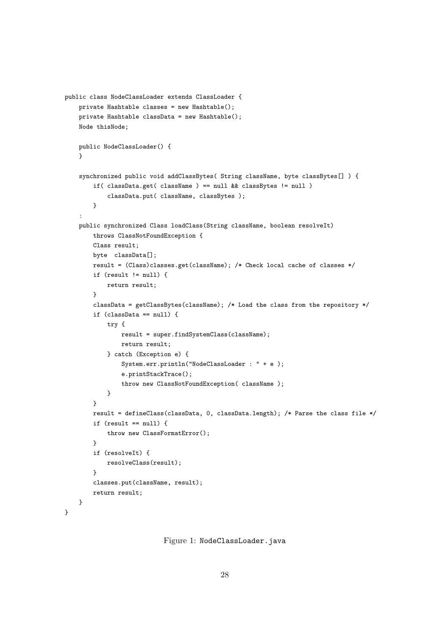```
public class NodeClassLoader extends ClassLoader {
    private Hashtable classes = new Hashtable();
    private Hashtable classData = new Hashtable();
    Node thisNode;
    public NodeClassLoader() {
    }
    synchronized public void addClassBytes( String className, byte classBytes[] ) {
        if( classData.get( className) == null & classBytes != null)classData.put( className, classBytes );
        }
    :
    public synchronized Class loadClass(String className, boolean resolveIt)
        throws ClassNotFoundException {
        Class result;
        byte classData[];
        result = (Class)classes.get(className); /* Check local cache of classes */
        if (result != null) {
            return result;
        }
        classData = getClassBytes(className); /* Load the class from the repository */
        if (classData == null) {
            try {
                result = super.findSystemClass(className);
                return result;
            } catch (Exception e) {
                System.err.println("NodeClassLoader : " + e );
                e.printStackTrace();
                throw new ClassNotFoundException( className );
            }
        }
        result = defineClass(classData, 0, classData.length); /* Parse the class file */
        if (result == null) {
            throw new ClassFormatError();
        }
        if (resolveIt) {
            resolveClass(result);
        }
        classes.put(className, result);
        return result;
    }
}
```
Figure 1: NodeClassLoader.java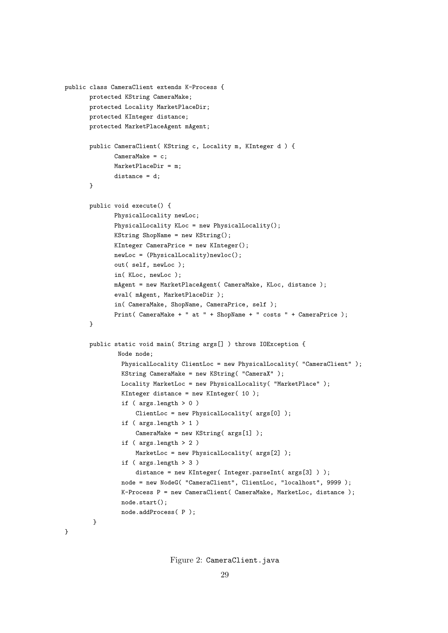```
public class CameraClient extends K-Process {
      protected KString CameraMake;
      protected Locality MarketPlaceDir;
      protected KInteger distance;
      protected MarketPlaceAgent mAgent;
      public CameraClient( KString c, Locality m, KInteger d ) {
              CameraMake = c;MarketPlaceDir = m;
              distance = d;}
      public void execute() {
              PhysicalLocality newLoc;
              PhysicalLocality KLoc = new PhysicalLocality();
              KString ShopName = new KString();
              KInteger CameraPrice = new KInteger();
              newLoc = (PhysicalLocality)newloc();
              out( self, newLoc );
              in( KLoc, newLoc );
              mAgent = new MarketPlaceAgent( CameraMake, KLoc, distance );
              eval( mAgent, MarketPlaceDir );
              in( CameraMake, ShopName, CameraPrice, self );
              Print( CameraMake + " at " + ShopName + " costs " + CameraPrice );
       }
      public static void main( String args[] ) throws IOException {
               Node node;
                PhysicalLocality ClientLoc = new PhysicalLocality( "CameraClient" );
                KString CameraMake = new KString( "CameraX" );
                Locality MarketLoc = new PhysicalLocality( "MarketPlace" );
                KInteger distance = new KInteger( 10 );
                if (args.length > 0)
                    ClientLoc = new PhysicalLocality( args[0] );
                if ( args.length > 1 )
                    CameraMake = new KString(args[1]);
                if (args.length > 2)
                   MarketLoc = new PhysicalLocality( args[2] );
                if ( args.length > 3 )
                    distance = new KInteger( Integer.parseInt( args[3] ) );
                node = new NodeG( "CameraClient", ClientLoc, "localhost", 9999 );
                K-Process P = new CameracClient( CameraMake, MarketLoc, distance);node.start();
                node.addProcess( P );
       }
```

```
}
```

```
Figure 2: CameraClient.java
```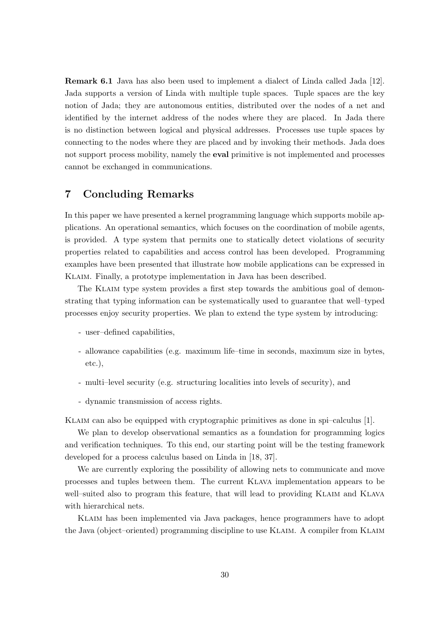Remark 6.1 Java has also been used to implement a dialect of Linda called Jada [12]. Jada supports a version of Linda with multiple tuple spaces. Tuple spaces are the key notion of Jada; they are autonomous entities, distributed over the nodes of a net and identified by the internet address of the nodes where they are placed. In Jada there is no distinction between logical and physical addresses. Processes use tuple spaces by connecting to the nodes where they are placed and by invoking their methods. Jada does not support process mobility, namely the **eval** primitive is not implemented and processes cannot be exchanged in communications.

# 7 Concluding Remarks

In this paper we have presented a kernel programming language which supports mobile applications. An operational semantics, which focuses on the coordination of mobile agents, is provided. A type system that permits one to statically detect violations of security properties related to capabilities and access control has been developed. Programming examples have been presented that illustrate how mobile applications can be expressed in Klaim. Finally, a prototype implementation in Java has been described.

The KLAIM type system provides a first step towards the ambitious goal of demonstrating that typing information can be systematically used to guarantee that well–typed processes enjoy security properties. We plan to extend the type system by introducing:

- user–defined capabilities,
- allowance capabilities (e.g. maximum life–time in seconds, maximum size in bytes, etc.),
- multi–level security (e.g. structuring localities into levels of security), and
- dynamic transmission of access rights.

Klaim can also be equipped with cryptographic primitives as done in spi–calculus [1].

We plan to develop observational semantics as a foundation for programming logics and verification techniques. To this end, our starting point will be the testing framework developed for a process calculus based on Linda in [18, 37].

We are currently exploring the possibility of allowing nets to communicate and move processes and tuples between them. The current Klava implementation appears to be well–suited also to program this feature, that will lead to providing KLAIM and KLAVA with hierarchical nets.

Klaim has been implemented via Java packages, hence programmers have to adopt the Java (object–oriented) programming discipline to use KLAIM. A compiler from KLAIM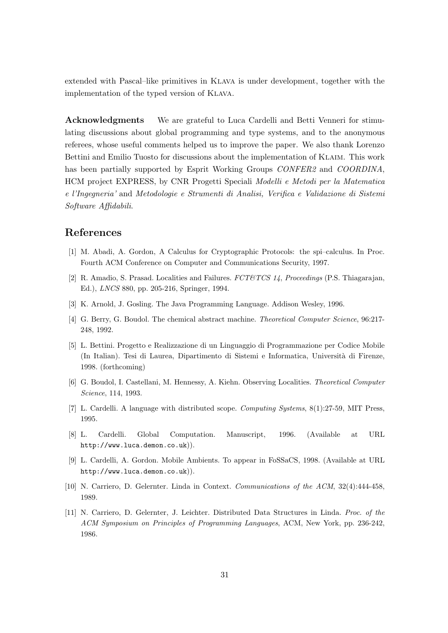extended with Pascal–like primitives in Klava is under development, together with the implementation of the typed version of Klava.

Acknowledgments We are grateful to Luca Cardelli and Betti Venneri for stimulating discussions about global programming and type systems, and to the anonymous referees, whose useful comments helped us to improve the paper. We also thank Lorenzo Bettini and Emilio Tuosto for discussions about the implementation of Klaim. This work has been partially supported by Esprit Working Groups CONFER2 and COORDINA, HCM project EXPRESS, by CNR Progetti Speciali Modelli e Metodi per la Matematica e l'Ingegneria' and Metodologie e Strumenti di Analisi, Verifica e Validazione di Sistemi Software Affidabili.

## References

- [1] M. Abadi, A. Gordon, A Calculus for Cryptographic Protocols: the spi–calculus. In Proc. Fourth ACM Conference on Computer and Communications Security, 1997.
- [2] R. Amadio, S. Prasad. Localities and Failures.  $FCT\&TCS$  14, Proceedings (P.S. Thiagarajan, Ed.), LNCS 880, pp. 205-216, Springer, 1994.
- [3] K. Arnold, J. Gosling. The Java Programming Language. Addison Wesley, 1996.
- [4] G. Berry, G. Boudol. The chemical abstract machine. *Theoretical Computer Science*, 96:217-248, 1992.
- [5] L. Bettini. Progetto e Realizzazione di un Linguaggio di Programmazione per Codice Mobile (In Italian). Tesi di Laurea, Dipartimento di Sistemi e Informatica, Universit`a di Firenze, 1998. (forthcoming)
- [6] G. Boudol, I. Castellani, M. Hennessy, A. Kiehn. Observing Localities. Theoretical Computer Science, 114, 1993.
- [7] L. Cardelli. A language with distributed scope. Computing Systems, 8(1):27-59, MIT Press, 1995.
- [8] L. Cardelli. Global Computation. Manuscript, 1996. (Available at URL http://www.luca.demon.co.uk)).
- [9] L. Cardelli, A. Gordon. Mobile Ambients. To appear in FoSSaCS, 1998. (Available at URL http://www.luca.demon.co.uk)).
- [10] N. Carriero, D. Gelernter. Linda in Context. Communications of the ACM, 32(4):444-458, 1989.
- [11] N. Carriero, D. Gelernter, J. Leichter. Distributed Data Structures in Linda. Proc. of the ACM Symposium on Principles of Programming Languages, ACM, New York, pp. 236-242, 1986.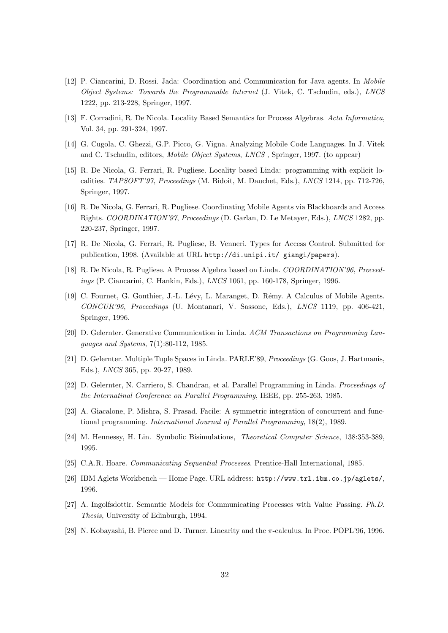- [12] P. Ciancarini, D. Rossi. Jada: Coordination and Communication for Java agents. In Mobile Object Systems: Towards the Programmable Internet (J. Vitek, C. Tschudin, eds.), LNCS 1222, pp. 213-228, Springer, 1997.
- [13] F. Corradini, R. De Nicola. Locality Based Semantics for Process Algebras. Acta Informatica, Vol. 34, pp. 291-324, 1997.
- [14] G. Cugola, C. Ghezzi, G.P. Picco, G. Vigna. Analyzing Mobile Code Languages. In J. Vitek and C. Tschudin, editors, Mobile Object Systems, LNCS , Springer, 1997. (to appear)
- [15] R. De Nicola, G. Ferrari, R. Pugliese. Locality based Linda: programming with explicit localities. TAPSOFT'97, Proceedings (M. Bidoit, M. Dauchet, Eds.), LNCS 1214, pp. 712-726, Springer, 1997.
- [16] R. De Nicola, G. Ferrari, R. Pugliese. Coordinating Mobile Agents via Blackboards and Access Rights. COORDINATION'97, Proceedings (D. Garlan, D. Le Metayer, Eds.), LNCS 1282, pp. 220-237, Springer, 1997.
- [17] R. De Nicola, G. Ferrari, R. Pugliese, B. Venneri. Types for Access Control. Submitted for publication, 1998. (Available at URL http://di.unipi.it/ giangi/papers).
- [18] R. De Nicola, R. Pugliese. A Process Algebra based on Linda. COORDINATION'96, Proceedings (P. Ciancarini, C. Hankin, Eds.), LNCS 1061, pp. 160-178, Springer, 1996.
- [19] C. Fournet, G. Gonthier, J.-L. Lévy, L. Maranget, D. Rémy. A Calculus of Mobile Agents. CONCUR'96, Proceedings (U. Montanari, V. Sassone, Eds.), LNCS 1119, pp. 406-421, Springer, 1996.
- [20] D. Gelernter. Generative Communication in Linda. ACM Transactions on Programming Languages and Systems, 7(1):80-112, 1985.
- [21] D. Gelernter. Multiple Tuple Spaces in Linda. PARLE'89, Proceedings (G. Goos, J. Hartmanis, Eds.), LNCS 365, pp. 20-27, 1989.
- [22] D. Gelernter, N. Carriero, S. Chandran, et al. Parallel Programming in Linda. Proceedings of the Internatinal Conference on Parallel Programming, IEEE, pp. 255-263, 1985.
- [23] A. Giacalone, P. Mishra, S. Prasad. Facile: A symmetric integration of concurrent and functional programming. International Journal of Parallel Programming, 18(2), 1989.
- [24] M. Hennessy, H. Lin. Symbolic Bisimulations, Theoretical Computer Science, 138:353-389, 1995.
- [25] C.A.R. Hoare. Communicating Sequential Processes. Prentice-Hall International, 1985.
- [26] IBM Aglets Workbench Home Page. URL address: http://www.trl.ibm.co.jp/aglets/, 1996.
- [27] A. Ingolfsdottir. Semantic Models for Communicating Processes with Value–Passing. Ph.D. Thesis, University of Edinburgh, 1994.
- [28] N. Kobayashi, B. Pierce and D. Turner. Linearity and the  $\pi$ -calculus. In Proc. POPL'96, 1996.